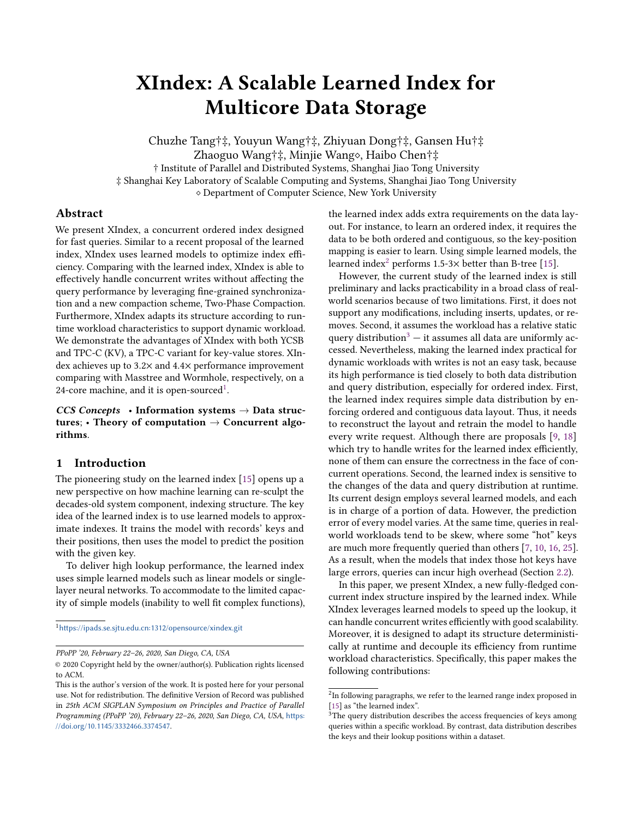# XIndex: A Scalable Learned Index for Multicore Data Storage

Chuzhe Tang†‡, Youyun Wang†‡, Zhiyuan Dong†‡, Gansen Hu†‡ Zhaoguo Wang†‡, Minjie Wang◇, Haibo Chen†‡ † Institute of Parallel and Distributed Systems, Shanghai Jiao Tong University ‡ Shanghai Key Laboratory of Scalable Computing and Systems, Shanghai Jiao Tong University ⋄ Department of Computer Science, New York University

# Abstract

We present XIndex, a concurrent ordered index designed for fast queries. Similar to a recent proposal of the learned index, XIndex uses learned models to optimize index efficiency. Comparing with the learned index, XIndex is able to effectively handle concurrent writes without affecting the query performance by leveraging fine-grained synchronization and a new compaction scheme, Two-Phase Compaction. Furthermore, XIndex adapts its structure according to runtime workload characteristics to support dynamic workload. We demonstrate the advantages of XIndex with both YCSB and TPC-C (KV), a TPC-C variant for key-value stores. XIndex achieves up to 3.2× and 4.4× performance improvement comparing with Masstree and Wormhole, respectively, on a 24-core machine, and it is open-sourced $^1$  $^1$ .

CCS Concepts • Information systems  $\rightarrow$  Data structures; • Theory of computation  $\rightarrow$  Concurrent algorithms.

# 1 Introduction

The pioneering study on the learned index [\[15\]](#page-12-0) opens up a new perspective on how machine learning can re-sculpt the decades-old system component, indexing structure. The key idea of the learned index is to use learned models to approximate indexes. It trains the model with records' keys and their positions, then uses the model to predict the position with the given key.

To deliver high lookup performance, the learned index uses simple learned models such as linear models or singlelayer neural networks. To accommodate to the limited capacity of simple models (inability to well fit complex functions),

<span id="page-0-0"></span><sup>1</sup><https://ipads.se.sjtu.edu.cn:1312/opensource/xindex.git>

PPoPP '20, February 22–26, 2020, San Diego, CA, USA

the learned index adds extra requirements on the data layout. For instance, to learn an ordered index, it requires the data to be both ordered and contiguous, so the key-position mapping is easier to learn. Using simple learned models, the learned index<sup>[2](#page-0-1)</sup> performs 1.5-3 $\times$  better than B-tree [\[15\]](#page-12-0).

However, the current study of the learned index is still preliminary and lacks practicability in a broad class of realworld scenarios because of two limitations. First, it does not support any modifications, including inserts, updates, or removes. Second, it assumes the workload has a relative static query distribution<sup>[3](#page-0-2)</sup>  $-$  it assumes all data are uniformly accessed. Nevertheless, making the learned index practical for dynamic workloads with writes is not an easy task, because its high performance is tied closely to both data distribution and query distribution, especially for ordered index. First, the learned index requires simple data distribution by enforcing ordered and contiguous data layout. Thus, it needs to reconstruct the layout and retrain the model to handle every write request. Although there are proposals [\[9,](#page-12-1) [18\]](#page-12-2) which try to handle writes for the learned index efficiently, none of them can ensure the correctness in the face of concurrent operations. Second, the learned index is sensitive to the changes of the data and query distribution at runtime. Its current design employs several learned models, and each is in charge of a portion of data. However, the prediction error of every model varies. At the same time, queries in realworld workloads tend to be skew, where some "hot" keys are much more frequently queried than others [\[7,](#page-12-3) [10,](#page-12-4) [16,](#page-12-5) [25\]](#page-12-6). As a result, when the models that index those hot keys have large errors, queries can incur high overhead (Section [2.2\)](#page-2-0).

In this paper, we present XIndex, a new fully-fledged concurrent index structure inspired by the learned index. While XIndex leverages learned models to speed up the lookup, it can handle concurrent writes efficiently with good scalability. Moreover, it is designed to adapt its structure deterministically at runtime and decouple its efficiency from runtime workload characteristics. Specifically, this paper makes the following contributions:

<sup>©</sup> 2020 Copyright held by the owner/author(s). Publication rights licensed to ACM.

This is the author's version of the work. It is posted here for your personal use. Not for redistribution. The definitive Version of Record was published in 25th ACM SIGPLAN Symposium on Principles and Practice of Parallel Programming (PPoPP '20), February 22–26, 2020, San Diego, CA, USA, [https:](https://doi.org/10.1145/3332466.3374547) [//doi.org/10.1145/3332466.3374547](https://doi.org/10.1145/3332466.3374547).

<span id="page-0-1"></span> $2$ In following paragraphs, we refer to the learned range index proposed in [\[15\]](#page-12-0) as "the learned index".

<span id="page-0-2"></span> $3$ The query distribution describes the access frequencies of keys among queries within a specific workload. By contrast, data distribution describes the keys and their lookup positions within a dataset.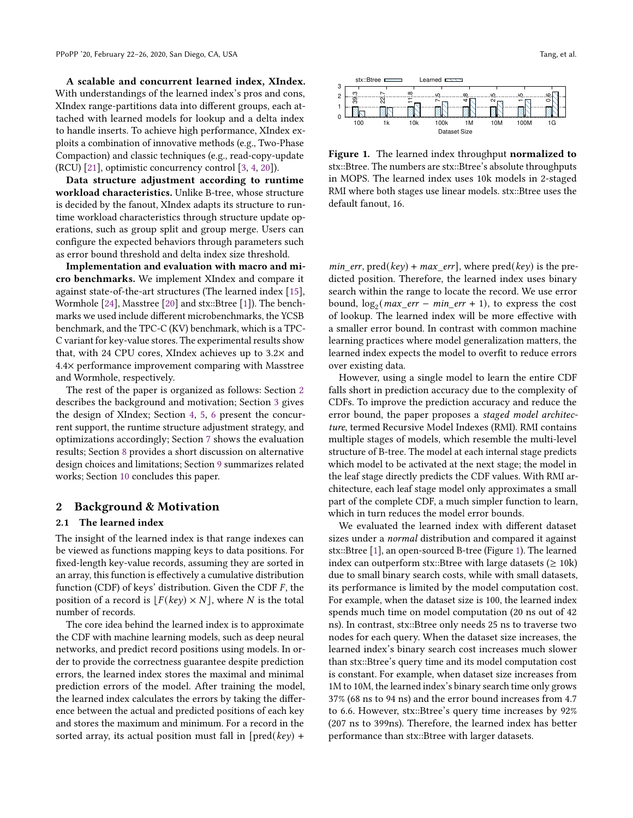A scalable and concurrent learned index, XIndex. With understandings of the learned index's pros and cons, XIndex range-partitions data into different groups, each attached with learned models for lookup and a delta index to handle inserts. To achieve high performance, XIndex exploits a combination of innovative methods (e.g., Two-Phase Compaction) and classic techniques (e.g., read-copy-update (RCU) [\[21\]](#page-12-7), optimistic concurrency control [\[3,](#page-12-8) [4,](#page-12-9) [20\]](#page-12-10)).

Data structure adjustment according to runtime workload characteristics. Unlike B-tree, whose structure is decided by the fanout, XIndex adapts its structure to runtime workload characteristics through structure update operations, such as group split and group merge. Users can configure the expected behaviors through parameters such as error bound threshold and delta index size threshold.

Implementation and evaluation with macro and micro benchmarks. We implement XIndex and compare it against state-of-the-art structures (The learned index [\[15\]](#page-12-0), Wormhole [\[24\]](#page-12-11), Masstree [\[20\]](#page-12-10) and stx::Btree [\[1\]](#page-11-0)). The benchmarks we used include different microbenchmarks, the YCSB benchmark, and the TPC-C (KV) benchmark, which is a TPC-C variant for key-value stores. The experimental results show that, with 24 CPU cores, XIndex achieves up to 3.2× and 4.4× performance improvement comparing with Masstree and Wormhole, respectively.

The rest of the paper is organized as follows: Section [2](#page-1-0) describes the background and motivation; Section [3](#page-2-1) gives the design of XIndex; Section [4,](#page-6-0) [5,](#page-7-0) [6](#page-8-0) present the concurrent support, the runtime structure adjustment strategy, and optimizations accordingly; Section [7](#page-8-1) shows the evaluation results; Section [8](#page-10-0) provides a short discussion on alternative design choices and limitations; Section [9](#page-11-1) summarizes related works; Section [10](#page-11-2) concludes this paper.

#### <span id="page-1-0"></span>2 Background & Motivation

#### 2.1 The learned index

The insight of the learned index is that range indexes can be viewed as functions mapping keys to data positions. For fixed-length key-value records, assuming they are sorted in an array, this function is effectively a cumulative distribution function (CDF) of keys' distribution. Given the CDF  $F$ , the position of a record is  $[F(key) \times N]$ , where N is the total number of records.

The core idea behind the learned index is to approximate the CDF with machine learning models, such as deep neural networks, and predict record positions using models. In order to provide the correctness guarantee despite prediction errors, the learned index stores the maximal and minimal prediction errors of the model. After training the model, the learned index calculates the errors by taking the difference between the actual and predicted positions of each key and stores the maximum and minimum. For a record in the sorted array, its actual position must fall in  $[\text{pred}(ke\gamma) +$ 

<span id="page-1-1"></span>

Figure 1. The learned index throughput normalized to stx::Btree. The numbers are stx::Btree's absolute throughputs in MOPS. The learned index uses 10k models in 2-staged RMI where both stages use linear models. stx::Btree uses the default fanout, 16.

*min\_err*, pred(*key*) + *max\_err*], where pred(*key*) is the predicted position. Therefore, the learned index uses binary search within the range to locate the record. We use error bound,  $\log_2(max\_err - min\_err + 1)$ , to express the cost of lookup. The learned index will be more effective with a smaller error bound. In contrast with common machine learning practices where model generalization matters, the learned index expects the model to overfit to reduce errors over existing data.

However, using a single model to learn the entire CDF falls short in prediction accuracy due to the complexity of CDFs. To improve the prediction accuracy and reduce the error bound, the paper proposes a staged model architecture, termed Recursive Model Indexes (RMI). RMI contains multiple stages of models, which resemble the multi-level structure of B-tree. The model at each internal stage predicts which model to be activated at the next stage; the model in the leaf stage directly predicts the CDF values. With RMI architecture, each leaf stage model only approximates a small part of the complete CDF, a much simpler function to learn, which in turn reduces the model error bounds.

We evaluated the learned index with different dataset sizes under a normal distribution and compared it against stx::Btree [\[1\]](#page-11-0), an open-sourced B-tree (Figure [1\)](#page-1-1). The learned index can outperform stx::Btree with large datasets ( $\geq 10$ k) due to small binary search costs, while with small datasets, its performance is limited by the model computation cost. For example, when the dataset size is 100, the learned index spends much time on model computation (20 ns out of 42 ns). In contrast, stx::Btree only needs 25 ns to traverse two nodes for each query. When the dataset size increases, the learned index's binary search cost increases much slower than stx::Btree's query time and its model computation cost is constant. For example, when dataset size increases from 1M to 10M, the learned index's binary search time only grows 37% (68 ns to 94 ns) and the error bound increases from 4.7 to 6.6. However, stx::Btree's query time increases by 92% (207 ns to 399ns). Therefore, the learned index has better performance than stx::Btree with larger datasets.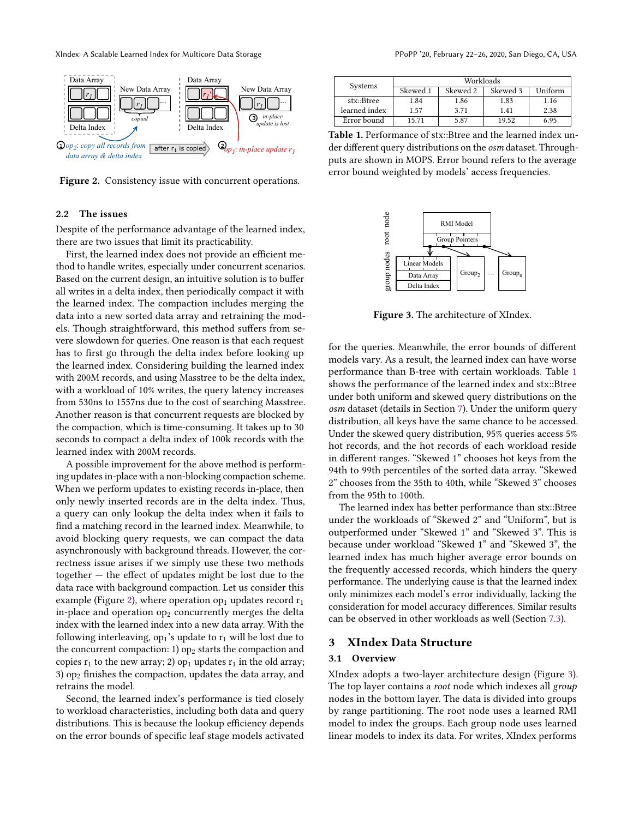XIndex: A Scalable Learned Index for Multicore Data Storage Perror Perror PPoPP '20, February 22-26, 2020, San Diego, CA, USA

<span id="page-2-2"></span>

Figure 2. Consistency issue with concurrent operations.

#### <span id="page-2-0"></span>2.2 The issues

Despite of the performance advantage of the learned index, there are two issues that limit its practicability.

First, the learned index does not provide an efficient method to handle writes, especially under concurrent scenarios. Based on the current design, an intuitive solution is to buffer all writes in a delta index, then periodically compact it with the learned index. The compaction includes merging the data into a new sorted data array and retraining the models. Though straightforward, this method suffers from severe slowdown for queries. One reason is that each request has to first go through the delta index before looking up the learned index. Considering building the learned index with 200M records, and using Masstree to be the delta index, with a workload of 10% writes, the query latency increases from 530ns to 1557ns due to the cost of searching Masstree. Another reason is that concurrent requests are blocked by the compaction, which is time-consuming. It takes up to 30 seconds to compact a delta index of 100k records with the learned index with 200M records.

A possible improvement for the above method is performing updates in-place with a non-blocking compaction scheme. When we perform updates to existing records in-place, then only newly inserted records are in the delta index. Thus, a query can only lookup the delta index when it fails to find a matching record in the learned index. Meanwhile, to avoid blocking query requests, we can compact the data asynchronously with background threads. However, the correctness issue arises if we simply use these two methods together — the effect of updates might be lost due to the data race with background compaction. Let us consider this example (Figure [2\)](#page-2-2), where operation  $op_1$  updates record  $r_1$ in-place and operation  $op<sub>2</sub>$  concurrently merges the delta index with the learned index into a new data array. With the following interleaving,  $op_1$ 's update to  $r_1$  will be lost due to the concurrent compaction: 1)  $op_2$  starts the compaction and copies  $r_1$  to the new array; 2) op<sub>1</sub> updates  $r_1$  in the old array; 3)  $op<sub>2</sub>$  finishes the compaction, updates the data array, and retrains the model.

Second, the learned index's performance is tied closely to workload characteristics, including both data and query distributions. This is because the lookup efficiency depends on the error bounds of specific leaf stage models activated

<span id="page-2-3"></span>

| Systems       | Workloads |          |          |          |  |
|---------------|-----------|----------|----------|----------|--|
|               | Skewed 1  | Skewed 2 | Skewed 3 | Hniform) |  |
| stx::Btree    | 1.84      | 1.86     | 1.83     | 1.16     |  |
| learned index | 1.57      | 371      | 1.41     | 2.38     |  |
| Error bound   | 15.71     | 5.87     | 19.52    | 6.95     |  |

Table 1. Performance of stx::Btree and the learned index under different query distributions on the osm dataset. Throughputs are shown in MOPS. Error bound refers to the average error bound weighted by models' access frequencies.

<span id="page-2-4"></span>

Figure 3. The architecture of XIndex.

for the queries. Meanwhile, the error bounds of different models vary. As a result, the learned index can have worse performance than B-tree with certain workloads. Table [1](#page-2-3) shows the performance of the learned index and stx::Btree under both uniform and skewed query distributions on the osm dataset (details in Section [7\)](#page-8-1). Under the uniform query distribution, all keys have the same chance to be accessed. Under the skewed query distribution, 95% queries access 5% hot records, and the hot records of each workload reside in different ranges. "Skewed 1" chooses hot keys from the 94th to 99th percentiles of the sorted data array. "Skewed 2" chooses from the 35th to 40th, while "Skewed 3" chooses from the 95th to 100th.

The learned index has better performance than stx::Btree under the workloads of "Skewed 2" and "Uniform", but is outperformed under "Skewed 1" and "Skewed 3". This is because under workload "Skewed 1" and "Skewed 3", the learned index has much higher average error bounds on the frequently accessed records, which hinders the query performance. The underlying cause is that the learned index only minimizes each model's error individually, lacking the consideration for model accuracy differences. Similar results can be observed in other workloads as well (Section [7.3\)](#page-10-1).

#### <span id="page-2-1"></span>3 XIndex Data Structure

## 3.1 Overview

XIndex adopts a two-layer architecture design (Figure [3\)](#page-2-4). The top layer contains a root node which indexes all group nodes in the bottom layer. The data is divided into groups by range partitioning. The root node uses a learned RMI model to index the groups. Each group node uses learned linear models to index its data. For writes, XIndex performs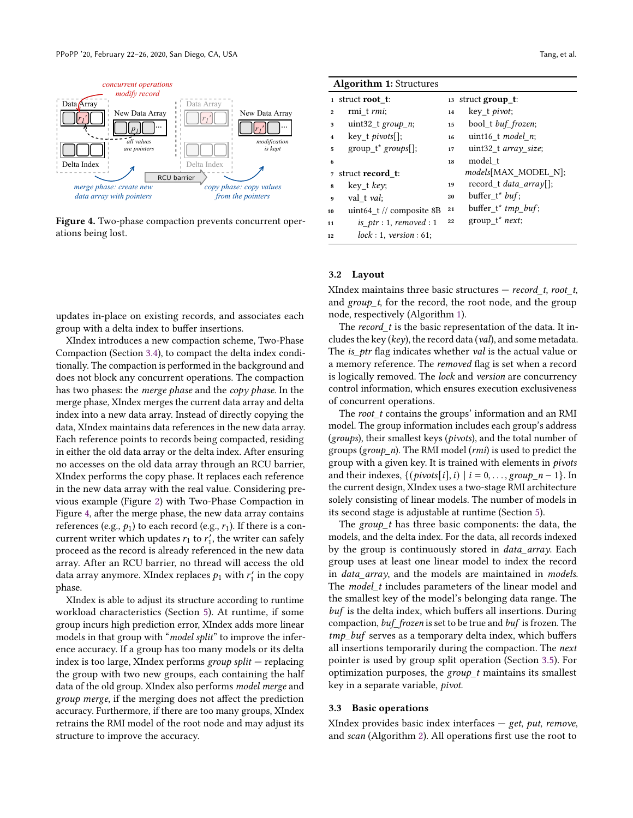<span id="page-3-0"></span>

Figure 4. Two-phase compaction prevents concurrent operations being lost.

updates in-place on existing records, and associates each group with a delta index to buffer insertions.

XIndex introduces a new compaction scheme, Two-Phase Compaction (Section [3.4\)](#page-4-0), to compact the delta index conditionally. The compaction is performed in the background and does not block any concurrent operations. The compaction has two phases: the merge phase and the copy phase. In the merge phase, XIndex merges the current data array and delta index into a new data array. Instead of directly copying the data, XIndex maintains data references in the new data array. Each reference points to records being compacted, residing in either the old data array or the delta index. After ensuring no accesses on the old data array through an RCU barrier, XIndex performs the copy phase. It replaces each reference in the new data array with the real value. Considering previous example (Figure [2\)](#page-2-2) with Two-Phase Compaction in Figure [4,](#page-3-0) after the merge phase, the new data array contains references (e.g.,  $p_1$ ) to each record (e.g.,  $r_1$ ). If there is a concurrent writer which updates  $r_1$  to  $r'_1$ , the writer can safely proceed as the record is already referenced in the new data array. After an RCU barrier, no thread will access the old data array anymore. XIndex replaces  $p_1$  with  $r'_1$  in the copy phase.

XIndex is able to adjust its structure according to runtime workload characteristics (Section [5\)](#page-7-0). At runtime, if some group incurs high prediction error, XIndex adds more linear models in that group with "*model split*" to improve the inference accuracy. If a group has too many models or its delta index is too large, XIndex performs group split  $-$  replacing the group with two new groups, each containing the half data of the old group. XIndex also performs model merge and group merge, if the merging does not affect the prediction accuracy. Furthermore, if there are too many groups, XIndex retrains the RMI model of the root node and may adjust its structure to improve the accuracy.

<span id="page-3-1"></span>

|                         | <b>Algorithm 1: Structures</b> |    |                                |
|-------------------------|--------------------------------|----|--------------------------------|
|                         | 1 struct <b>root</b> t:        |    | 13 struct group_t:             |
| $\mathbf{2}$            | rmi t rmi;                     | 14 | key t <i>pivot</i> ;           |
| 3                       | uint32_t group_n;              | 15 | bool_t buf_frozen;             |
| $\overline{\mathbf{4}}$ | $key$ t <i>pivots</i> [];      | 16 | uint16 t model $n$ ;           |
| 5                       | $group_t^*$ groups[];          | 17 | uint32 t array size;           |
| 6                       |                                | 18 | model t                        |
| $\overline{7}$          | struct record t:               |    | <i>models</i> [MAX MODEL N];   |
| 8                       | key_t key;                     | 19 | record t <i>data array</i> []; |
| 9                       | val t val:                     | 20 | buffer $t^*$ buf;              |
| 10                      | uint64 t // composite 8B       | 21 | $buffer_t^*$ tmp_buf;          |
| 11                      | is_ptr: 1, removed : 1         | 22 | group $t^*$ next;              |
| 12                      | lock: 1, version: 61;          |    |                                |

#### 3.2 Layout

XIndex maintains three basic structures  $-$  record\_t, root\_t, and group t, for the record, the root node, and the group node, respectively (Algorithm [1\)](#page-3-1).

The record  $t$  is the basic representation of the data. It includes the key (key), the record data (val), and some metadata. The is\_ptr flag indicates whether val is the actual value or a memory reference. The removed flag is set when a record is logically removed. The lock and version are concurrency control information, which ensures execution exclusiveness of concurrent operations.

The *root\_t* contains the groups' information and an RMI model. The group information includes each group's address (groups), their smallest keys (pivots), and the total number of groups (group\_n). The RMI model (rmi) is used to predict the group with a given key. It is trained with elements in pivots and their indexes,  $\{(\text{pivots}[i],i) \mid i = 0,\ldots, \text{group\_}n-1\}$ . In the current design, XIndex uses a two-stage RMI architecture solely consisting of linear models. The number of models in its second stage is adjustable at runtime (Section [5\)](#page-7-0).

The group  $t$  has three basic components: the data, the models, and the delta index. For the data, all records indexed by the group is continuously stored in *data\_array*. Each group uses at least one linear model to index the record in data\_array, and the models are maintained in models. The *model t* includes parameters of the linear model and the smallest key of the model's belonging data range. The buf is the delta index, which buffers all insertions. During compaction, buf frozen is set to be true and buf is frozen. The tmp\_buf serves as a temporary delta index, which buffers all insertions temporarily during the compaction. The next pointer is used by group split operation (Section [3.5\)](#page-5-0). For optimization purposes, the  $group_t$  maintains its smallest key in a separate variable, pivot.

#### 3.3 Basic operations

XIndex provides basic index interfaces  $-$  get, put, remove, and scan (Algorithm [2\)](#page-4-1). All operations first use the root to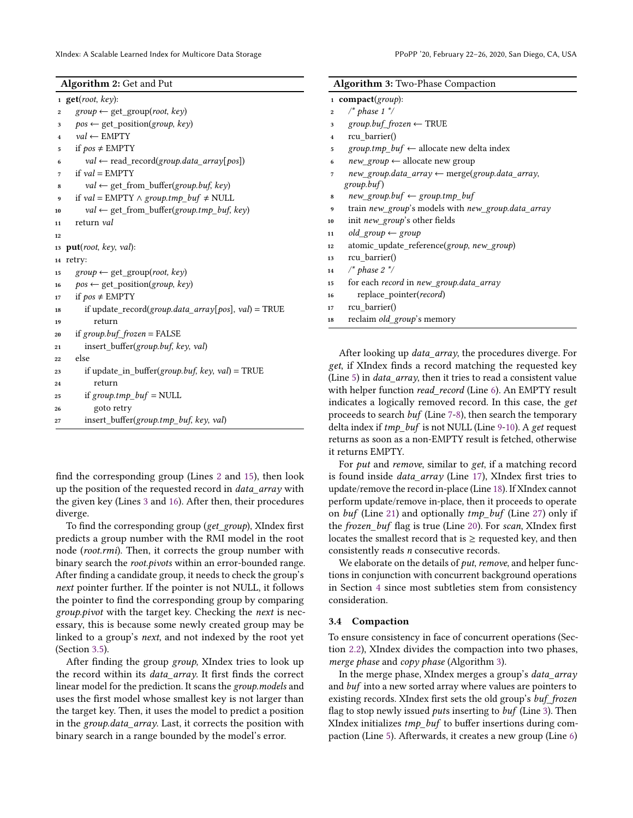<span id="page-4-18"></span><span id="page-4-17"></span><span id="page-4-11"></span><span id="page-4-10"></span><span id="page-4-9"></span><span id="page-4-8"></span><span id="page-4-7"></span><span id="page-4-6"></span><span id="page-4-4"></span><span id="page-4-3"></span><span id="page-4-2"></span><span id="page-4-1"></span>

| Algorithm 2: Get and Put                                | Algorithm 3: Two-Phase Compaction                                        |  |  |
|---------------------------------------------------------|--------------------------------------------------------------------------|--|--|
| $1$ get(root, key):                                     | 1 compact(group):                                                        |  |  |
| $group \leftarrow get\_group(root, key)$                | $\prime^*$ phase 1 $\prime\prime$                                        |  |  |
| $\overline{2}$                                          | $\boldsymbol{2}$                                                         |  |  |
| $pos \leftarrow get\_position(group, key)$              | $group.buf\_frozen \leftarrow TRUE$                                      |  |  |
| 3                                                       | 3                                                                        |  |  |
| $val \leftarrow \text{EMPTY}$                           | rcu barrier()                                                            |  |  |
| $\bf{4}$                                                | $\overline{4}$                                                           |  |  |
| if $pos \neq EMPTY$                                     | $group.tmp\_buf \leftarrow$ allocate new delta index                     |  |  |
| $\overline{\mathbf{5}}$                                 | ${\bf 5}$                                                                |  |  |
| $val \leftarrow read\_record(group.data\_array[pos])$   | $new\_group \leftarrow$ allocate new group                               |  |  |
| 6                                                       | 6                                                                        |  |  |
| if $val = EMPTY$                                        | new_group.data_array ← merge(group.data_array,                           |  |  |
| $\overline{\phantom{a}}$                                | $\overline{7}$                                                           |  |  |
| $val \leftarrow get\_from\_buffer(group.buf, key)$<br>8 | group,buf)                                                               |  |  |
| if $val = EMPTY \wedge group.tmp\_buf \neq NULL$        | $new\_group.buf \leftarrow group.tmp_buf$                                |  |  |
| 9                                                       | 8                                                                        |  |  |
| $val \leftarrow get\_from\_buffer(group.tmp\_buf, key)$ | train new_group's models with new_group.data_array                       |  |  |
| 10                                                      | 9                                                                        |  |  |
| return val                                              | init new_group's other fields                                            |  |  |
| 11                                                      | 10                                                                       |  |  |
| 12                                                      | $old\_group \leftarrow group$<br>11                                      |  |  |
| 13 put(root, key, val):                                 | atomic_update_reference(group, new_group)<br>12                          |  |  |
| 14 retry:                                               | rcu_barrier()<br>13                                                      |  |  |
| $group \leftarrow get\_group(root, key)$                | $\prime^*$ phase 2 $\prime\prime$                                        |  |  |
| 15                                                      | 14                                                                       |  |  |
| $pos \leftarrow get\_position(group, key)$              | for each record in new_group.data_array                                  |  |  |
| 16                                                      | 15                                                                       |  |  |
| if $pos \neq EMPTY$                                     | replace_pointer(record)                                                  |  |  |
| 17                                                      | 16                                                                       |  |  |
| if update_record( $group.data_array[pos]$ , val) = TRUE | rcu_barrier()                                                            |  |  |
| 18                                                      | 17                                                                       |  |  |
| return                                                  | reclaim old_group's memory                                               |  |  |
| 19                                                      | ${\bf 18}$                                                               |  |  |
| if group.buf_frozen = FALSE<br>20                       |                                                                          |  |  |
| insert_buffer(group.buf, key, val)<br>$\bf 21$          |                                                                          |  |  |
| else<br>$\bf{22}$                                       | After looking up <i>data_array</i> , the procedures diverge. For         |  |  |
| if update_in_buffer(group.buf, key, val) = TRUE<br>23   | get, if XIndex finds a record matching the requested key                 |  |  |
| return<br>24                                            | (Line 5) in <i>data_array</i> , then it tries to read a consistent value |  |  |
| if $group.tmp_buf = NULL$<br>25                         | with helper function read_record (Line 6). An EMPTY result               |  |  |
| goto retry<br>26                                        | indicates a logically removed record. In this case, the get              |  |  |
| insert buffer(group.tmp buf, key, val)<br>27            | proceeds to search buf (Line 7-8), then search the temporary             |  |  |

<span id="page-4-16"></span><span id="page-4-15"></span><span id="page-4-14"></span><span id="page-4-13"></span><span id="page-4-12"></span><span id="page-4-5"></span>find the corresponding group (Lines [2](#page-4-2) and [15\)](#page-4-3), then look up the position of the requested record in data\_array with the given key (Lines [3](#page-4-4) and [16\)](#page-4-5). After then, their procedures diverge.

To find the corresponding group (get\_group), XIndex first predicts a group number with the RMI model in the root node (root.rmi). Then, it corrects the group number with binary search the root.pivots within an error-bounded range. After finding a candidate group, it needs to check the group's next pointer further. If the pointer is not NULL, it follows the pointer to find the corresponding group by comparing group.pivot with the target key. Checking the next is necessary, this is because some newly created group may be linked to a group's next, and not indexed by the root yet (Section [3.5\)](#page-5-0).

After finding the group group, XIndex tries to look up the record within its *data array*. It first finds the correct linear model for the prediction. It scans the group.models and uses the first model whose smallest key is not larger than the target key. Then, it uses the model to predict a position in the group.data\_array. Last, it corrects the position with binary search in a range bounded by the model's error.

returns as soon as a non-EMPTY result is fetched, otherwise it returns EMPTY. For put and remove, similar to get, if a matching record is found inside *data array* (Line [17\)](#page-4-12), XIndex first tries to update/remove the record in-place (Line [18\)](#page-4-13). If XIndex cannot perform update/remove in-place, then it proceeds to operate on buf (Line [21\)](#page-4-14) and optionally  $tmp_buf$  (Line [27\)](#page-4-15) only if the frozen buf flag is true (Line [20\)](#page-4-16). For scan, XIndex first locates the smallest record that is  $\geq$  requested key, and then

<span id="page-4-29"></span><span id="page-4-28"></span><span id="page-4-27"></span><span id="page-4-26"></span><span id="page-4-25"></span><span id="page-4-24"></span><span id="page-4-23"></span><span id="page-4-22"></span><span id="page-4-21"></span><span id="page-4-20"></span><span id="page-4-19"></span>delta index if tmp\_buf is not NULL (Line [9-](#page-4-10)[10\)](#page-4-11). A get request

We elaborate on the details of put, remove, and helper functions in conjunction with concurrent background operations in Section [4](#page-6-0) since most subtleties stem from consistency consideration.

consistently reads n consecutive records.

#### <span id="page-4-0"></span>3.4 Compaction

To ensure consistency in face of concurrent operations (Section [2.2\)](#page-2-0), XIndex divides the compaction into two phases, merge phase and copy phase (Algorithm [3\)](#page-4-17).

In the merge phase, XIndex merges a group's data\_array and buf into a new sorted array where values are pointers to existing records. XIndex first sets the old group's buf\_frozen flag to stop newly issued *puts* inserting to buf (Line [3\)](#page-4-18). Then XIndex initializes tmp\_buf to buffer insertions during compaction (Line [5\)](#page-4-19). Afterwards, it creates a new group (Line [6\)](#page-4-20)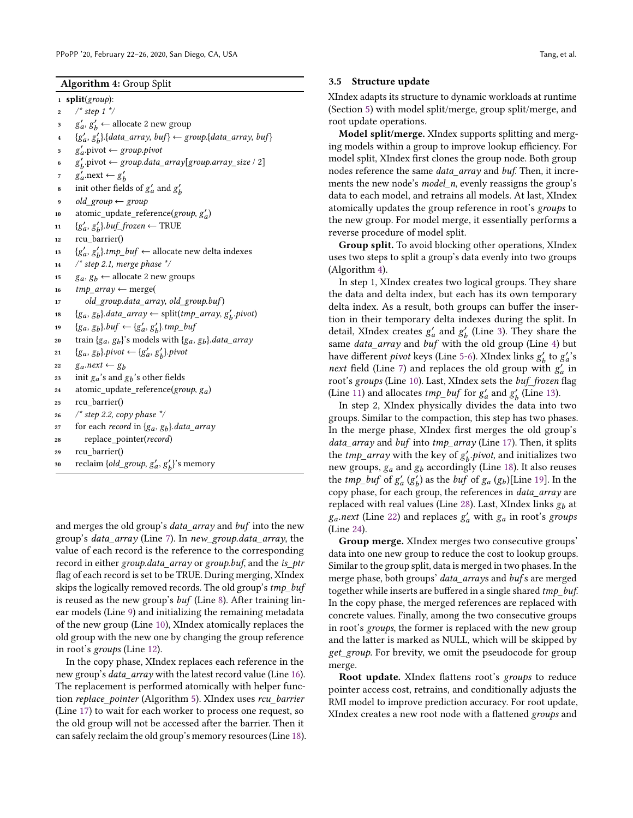<span id="page-5-1"></span><sup>1</sup> split(group):

- 2  $/* step 1 */$
- <span id="page-5-2"></span> $s^{\prime}$  g'<sub>a</sub>, g'<sub>b</sub>  $\leftarrow$  allocate 2 new group
- <span id="page-5-3"></span> ${g}'_a, g'_b$ }.{data\_array, buf}  $\leftarrow$  group.{data\_array, buf}
- <span id="page-5-4"></span> $\mathbf{g}'_a$ . pivot  $\leftarrow$  group. pivot
- <span id="page-5-5"></span>6  $g'_b$ .pivot  $\leftarrow$  group.data\_array[group.array\_size / 2]
- <span id="page-5-6"></span> $g'_a$ .next  $\leftarrow g'_b$
- s init other fields of  $g'_a$  and  $g'_b$
- old group  $\leftarrow$  group
- <span id="page-5-7"></span>10 atomic\_update\_reference(group,  $g'_a$ )
- <span id="page-5-8"></span>11  $\{g'_a, g'_b\}$ .buf\_frozen  $\leftarrow$  TRUE
- <sup>12</sup> rcu\_barrier()
- <span id="page-5-9"></span>13  ${g'_a, g'_b}$ .tmp\_buf  $\leftarrow$  allocate new delta indexes
- $14$  /\* step 2.1, merge phase \*/
- 15  $g_a, g_b$  ← allocate 2 new groups
- 16  $tmp\_array \leftarrow merge($
- <span id="page-5-10"></span>17 old\_group.data\_array, old\_group.buf)
- <span id="page-5-11"></span>18  ${g_a, g_b}.data\_array \leftarrow splittmp\_array, g'_b.pivot)$
- <span id="page-5-12"></span>19 { $g_a, g_b$ }.*buf*  $\leftarrow$  { $g'_a, g'_b$ }.*tmp\_buf*
- 20 train  $\{g_a, g_b\}$ 's models with  $\{g_a, g_b\}$ .data\_array
- 21 {g<sub>a</sub>, g<sub>b</sub>}.pivot  $\leftarrow$  {g<sub>a</sub>', g<sub>b</sub>}.pivot
- <span id="page-5-14"></span>22  $ga.next \leftarrow gb$
- 23 init  $g_a$ 's and  $g_b$ 's other fields
- <span id="page-5-15"></span>24 atomic\_update\_reference( $group, g_a$ )
- <span id="page-5-16"></span><sup>25</sup> rcu\_barrier()
- <sup>26</sup> /\* step 2.2, copy phase \*/
- 27 for each *record* in  $\{g_a, g_b\}$ .*data\_array*
- <span id="page-5-13"></span><sup>28</sup> replace\_pointer(record)
- <sup>29</sup> rcu\_barrier()
- 30 reclaim { $old\_group, g'_a, g'_b$ }'s memory

and merges the old group's *data array* and *buf* into the new group's data\_array (Line [7\)](#page-4-21). In new\_group.data\_array, the value of each record is the reference to the corresponding record in either group.data\_array or group.buf, and the is\_ptr flag of each record is set to be TRUE. During merging, XIndex skips the logically removed records. The old group's *tmp\_buf* is reused as the new group's buf (Line [8\)](#page-4-22). After training linear models (Line [9\)](#page-4-23) and initializing the remaining metadata of the new group (Line [10\)](#page-4-24), XIndex atomically replaces the old group with the new one by changing the group reference in root's groups (Line [12\)](#page-4-25).

In the copy phase, XIndex replaces each reference in the new group's *data\_array* with the latest record value (Line [16\)](#page-4-26). The replacement is performed atomically with helper func-tion replace\_pointer (Algorithm [5\)](#page-6-1). XIndex uses rcu\_barrier (Line [17\)](#page-4-27) to wait for each worker to process one request, so the old group will not be accessed after the barrier. Then it can safely reclaim the old group's memory resources (Line [18\)](#page-4-28).

#### <span id="page-5-0"></span>3.5 Structure update

XIndex adapts its structure to dynamic workloads at runtime (Section [5\)](#page-7-0) with model split/merge, group split/merge, and root update operations.

Model split/merge. XIndex supports splitting and merging models within a group to improve lookup efficiency. For model split, XIndex first clones the group node. Both group nodes reference the same data\_array and buf. Then, it increments the new node's *model n*, evenly reassigns the group's data to each model, and retrains all models. At last, XIndex atomically updates the group reference in root's groups to the new group. For model merge, it essentially performs a reverse procedure of model split.

Group split. To avoid blocking other operations, XIndex uses two steps to split a group's data evenly into two groups (Algorithm [4\)](#page-5-1).

In step 1, XIndex creates two logical groups. They share the data and delta index, but each has its own temporary delta index. As a result, both groups can buffer the insertion in their temporary delta indexes during the split. In detail, XIndex creates  $g'_a$  and  $g'_b$  (Line [3\)](#page-5-2). They share the same data\_array and buf with the old group (Line [4\)](#page-5-3) but have different *pivot* keys (Line [5-](#page-5-4)[6\)](#page-5-5). XIndex links  $g_b'$  to  $g_a'$ 's next field (Line [7\)](#page-5-6) and replaces the old group with  $g'_a$  in root's groups (Line [10\)](#page-5-7). Last, XIndex sets the buf\_frozen flag (Line [11\)](#page-5-8) and allocates *tmp\_buf* for  $g'_a$  and  $g'_b$  (Line [13\)](#page-5-9).

In step 2, XIndex physically divides the data into two groups. Similar to the compaction, this step has two phases. In the merge phase, XIndex first merges the old group's data\_array and buf into tmp\_array (Line [17\)](#page-5-10). Then, it splits the *tmp\_array* with the key of  $g'_b$  *pivot*, and initializes two new groups,  $g_a$  and  $g_b$  accordingly (Line [18\)](#page-5-11). It also reuses the *tmp\_buf* of  $g'_a(g'_b)$  as the *buf* of  $g_a(g_b)$ [Line [19\]](#page-5-12). In the copy phase, for each group, the references in data\_array are replaced with real values (Line [28\)](#page-5-13). Last, XIndex links  $g_h$  at  $g_a.next$  (Line [22\)](#page-5-14) and replaces  $g'_a$  with  $g_a$  in root's groups (Line [24\)](#page-5-15).

Group merge. XIndex merges two consecutive groups' data into one new group to reduce the cost to lookup groups. Similar to the group split, data is merged in two phases. In the merge phase, both groups' data\_arrays and bufs are merged together while inserts are buffered in a single shared tmp\_buf. In the copy phase, the merged references are replaced with concrete values. Finally, among the two consecutive groups in root's groups, the former is replaced with the new group and the latter is marked as NULL, which will be skipped by get\_group. For brevity, we omit the pseudocode for group merge.

Root update. XIndex flattens root's groups to reduce pointer access cost, retrains, and conditionally adjusts the RMI model to improve prediction accuracy. For root update, XIndex creates a new root node with a flattened groups and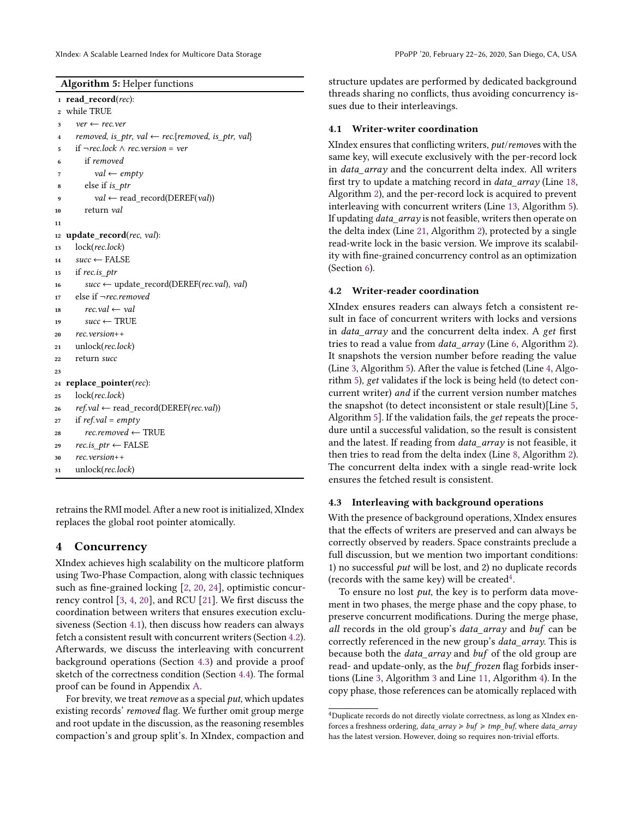```
Algorithm 5: Helper functions
_1 read record(rec):
2 while TRUE
     ver \leftarrow rec.ver4 removed, is_ptr, val \leftarrow rec.{removed, is_ptr, val}
5 if ¬rec.lock ∧ rec.version = ver
        6 if removed
          val \leftarrow \text{empty}8 else if is_ptr
          val \leftarrow \text{read\_record}(\text{DEREF}(val))10 return val
11
12 update record(rec, val):
13 lock(rec.lock)
14 succ ← FALSE
15 if rec.is ptr
16 succ ← update_record(DEREF(rec.val), val)
17 else if ¬rec.removed
18 rec.val \leftarrow val19 succ ← TRUE
20 rec.version++
21 unlock(rec.lock)
22 return succ
23
24 replace_pointer(rec):
25 lock(rec.lock)
ref.val \leftarrow read\_record(DEREF(rec.val))27 if ref.val = empty28 rec.removed ← TRUE
29 rec.is ptr \leftarrow FALSE
     rec.version++
31 unlock(rec.lock)
```
<span id="page-6-10"></span>retrains the RMI model. After a new root is initialized, XIndex replaces the global root pointer atomically.

## <span id="page-6-0"></span>4 Concurrency

XIndex achieves high scalability on the multicore platform using Two-Phase Compaction, along with classic techniques such as fine-grained locking [\[2,](#page-11-3) [20,](#page-12-10) [24\]](#page-12-11), optimistic concurrency control [\[3,](#page-12-8) [4,](#page-12-9) [20\]](#page-12-10), and RCU [\[21\]](#page-12-7). We first discuss the coordination between writers that ensures execution exclusiveness (Section [4.1\)](#page-6-2), then discuss how readers can always fetch a consistent result with concurrent writers (Section [4.2\)](#page-6-3). Afterwards, we discuss the interleaving with concurrent background operations (Section [4.3\)](#page-6-4) and provide a proof sketch of the correctness condition (Section [4.4\)](#page-7-1). The formal proof can be found in Appendix [A.](#page-12-12)

For brevity, we treat remove as a special put, which updates existing records' removed flag. We further omit group merge and root update in the discussion, as the reasoning resembles compaction's and group split's. In XIndex, compaction and structure updates are performed by dedicated background threads sharing no conflicts, thus avoiding concurrency issues due to their interleavings.

## <span id="page-6-2"></span>4.1 Writer-writer coordination

XIndex ensures that conflicting writers, put/removes with the same key, will execute exclusively with the per-record lock in *data\_array* and the concurrent delta index. All writers first try to update a matching record in data\_array (Line [18,](#page-4-13) Algorithm [2\)](#page-4-1), and the per-record lock is acquired to prevent interleaving with concurrent writers (Line [13,](#page-6-5) Algorithm [5\)](#page-6-1). If updating *data\_array* is not feasible, writers then operate on the delta index (Line [21,](#page-4-14) Algorithm [2\)](#page-4-1), protected by a single read-write lock in the basic version. We improve its scalability with fine-grained concurrency control as an optimization (Section [6\)](#page-8-0).

## <span id="page-6-3"></span>4.2 Writer-reader coordination

XIndex ensures readers can always fetch a consistent result in face of concurrent writers with locks and versions in *data array* and the concurrent delta index. A get first tries to read a value from *data array* (Line [6,](#page-4-7) Algorithm [2\)](#page-4-1). It snapshots the version number before reading the value (Line [3,](#page-6-6) Algorithm [5\)](#page-6-1). After the value is fetched (Line [4,](#page-6-7) Algorithm [5\)](#page-6-1), get validates if the lock is being held (to detect concurrent writer) and if the current version number matches the snapshot (to detect inconsistent or stale result)[Line [5,](#page-6-8) Algorithm [5\]](#page-6-1). If the validation fails, the get repeats the procedure until a successful validation, so the result is consistent and the latest. If reading from *data array* is not feasible, it then tries to read from the delta index (Line [8,](#page-4-9) Algorithm [2\)](#page-4-1). The concurrent delta index with a single read-write lock ensures the fetched result is consistent.

## <span id="page-6-4"></span>4.3 Interleaving with background operations

With the presence of background operations, XIndex ensures that the effects of writers are preserved and can always be correctly observed by readers. Space constraints preclude a full discussion, but we mention two important conditions: 1) no successful put will be lost, and 2) no duplicate records (records with the same key) will be created<sup>[4](#page-6-9)</sup>.

To ensure no lost put, the key is to perform data movement in two phases, the merge phase and the copy phase, to preserve concurrent modifications. During the merge phase, all records in the old group's data\_array and buf can be correctly referenced in the new group's data\_array. This is because both the data\_array and buf of the old group are read- and update-only, as the buf\_frozen flag forbids insertions (Line [3,](#page-4-18) Algorithm [3](#page-4-17) and Line [11,](#page-5-8) Algorithm [4\)](#page-5-1). In the copy phase, those references can be atomically replaced with

<span id="page-6-9"></span> $^4$ Duplicate records do not directly violate correctness, as long as XIndex enforces a freshness ordering,  $data\_array \geqslant buf \geqslant tmp\_buf$ , where  $data\_array$ has the latest version. However, doing so requires non-trivial efforts.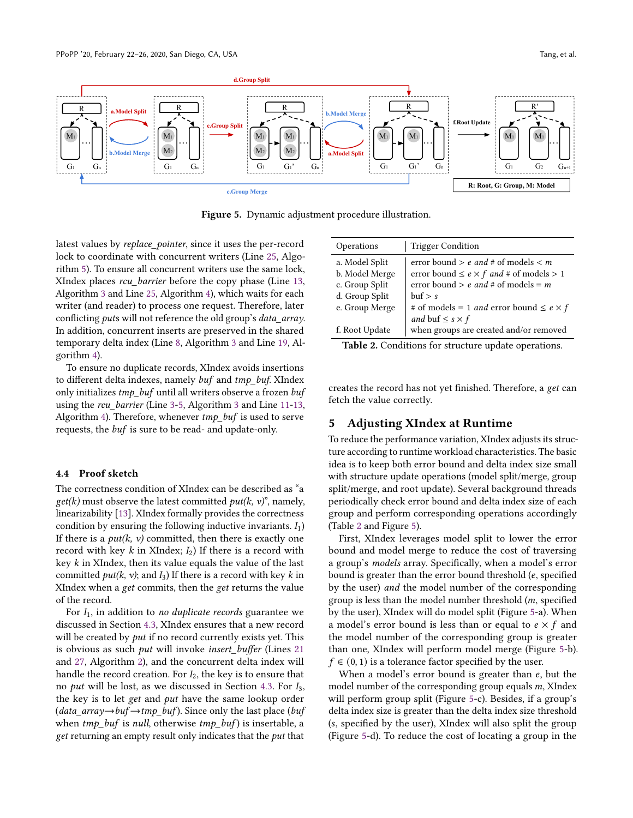<span id="page-7-3"></span>

Figure 5. Dynamic adjustment procedure illustration.

latest values by replace\_pointer, since it uses the per-record lock to coordinate with concurrent writers (Line [25,](#page-6-10) Algorithm [5\)](#page-6-1). To ensure all concurrent writers use the same lock, XIndex places rcu\_barrier before the copy phase (Line [13,](#page-4-29) Algorithm [3](#page-4-17) and Line [25,](#page-5-16) Algorithm [4\)](#page-5-1), which waits for each writer (and reader) to process one request. Therefore, later conflicting *puts* will not reference the old group's *data\_array*. In addition, concurrent inserts are preserved in the shared temporary delta index (Line [8,](#page-4-22) Algorithm [3](#page-4-17) and Line [19,](#page-5-12) Algorithm [4\)](#page-5-1).

To ensure no duplicate records, XIndex avoids insertions to different delta indexes, namely buf and tmp\_buf. XIndex only initializes tmp\_buf until all writers observe a frozen buf using the *rcu\_barrier* (Line [3-](#page-4-18)[5,](#page-4-19) Algorithm [3](#page-4-17) and Line [11](#page-5-8)[-13,](#page-5-9) Algorithm [4\)](#page-5-1). Therefore, whenever  $tmp$  buf is used to serve requests, the buf is sure to be read- and update-only.

#### <span id="page-7-1"></span>4.4 Proof sketch

The correctness condition of XIndex can be described as "a  $get(k)$  must observe the latest committed  $put(k, v)$ ", namely, linearizability [\[13\]](#page-12-13). XIndex formally provides the correctness condition by ensuring the following inductive invariants.  $I_1$ ) If there is a  $put(k, v)$  committed, then there is exactly one record with key  $k$  in XIndex;  $I_2$ ) If there is a record with key  $k$  in XIndex, then its value equals the value of the last committed  $put(k, v)$ ; and  $I_3$ ) If there is a record with key k in XIndex when a get commits, then the get returns the value of the record.

For  $I_1$ , in addition to no duplicate records guarantee we discussed in Section [4.3,](#page-6-4) XIndex ensures that a new record will be created by *put* if no record currently exists yet. This is obvious as such *put* will invoke *insert\_buffer* (Lines [21](#page-4-14) and [27,](#page-4-15) Algorithm [2\)](#page-4-1), and the concurrent delta index will handle the record creation. For  $I_2$ , the key is to ensure that no *put* will be lost, as we discussed in Section [4.3.](#page-6-4) For  $I_3$ , the key is to let get and put have the same lookup order  $(data_array \rightarrow buffer \rightarrow tmp_buf)$ . Since only the last place (*buf* when  $tmp_buf$  is null, otherwise  $tmp_buf$  is insertable, a get returning an empty result only indicates that the *put* that

<span id="page-7-2"></span>

| Operations     | <b>Trigger Condition</b>                                                                            |
|----------------|-----------------------------------------------------------------------------------------------------|
| a. Model Split | error bound $> e$ and # of models $< m$                                                             |
| b. Model Merge | error bound $\leq e \times f$ and # of models > 1                                                   |
| c. Group Split | error bound $> e$ and # of models = m                                                               |
| d. Group Split | $\text{but} > s$                                                                                    |
| e. Group Merge | # of models = 1 <i>and</i> error bound $\leq e \times f$                                            |
| f. Root Update | and buf $\leq$ s $\times$ f<br>when groups are created and/or removed<br>$\cdots$ $\alpha$ $\cdots$ |

Table 2. Conditions for structure update operations.

creates the record has not yet finished. Therefore, a get can fetch the value correctly.

# <span id="page-7-0"></span>5 Adjusting XIndex at Runtime

To reduce the performance variation, XIndex adjusts its structure according to runtime workload characteristics. The basic idea is to keep both error bound and delta index size small with structure update operations (model split/merge, group split/merge, and root update). Several background threads periodically check error bound and delta index size of each group and perform corresponding operations accordingly (Table [2](#page-7-2) and Figure [5\)](#page-7-3).

First, XIndex leverages model split to lower the error bound and model merge to reduce the cost of traversing a group's models array. Specifically, when a model's error bound is greater than the error bound threshold  $(e, specified)$ by the user) and the model number of the corresponding group is less than the model number threshold  $(m, specified)$ by the user), XIndex will do model split (Figure [5-](#page-7-3)a). When a model's error bound is less than or equal to  $e \times f$  and the model number of the corresponding group is greater than one, XIndex will perform model merge (Figure [5-](#page-7-3)b).  $f \in (0, 1)$  is a tolerance factor specified by the user.

When a model's error bound is greater than  $e$ , but the model number of the corresponding group equals  $m$ , XIndex will perform group split (Figure [5-](#page-7-3)c). Besides, if a group's delta index size is greater than the delta index size threshold (s, specified by the user), XIndex will also split the group (Figure [5-](#page-7-3)d). To reduce the cost of locating a group in the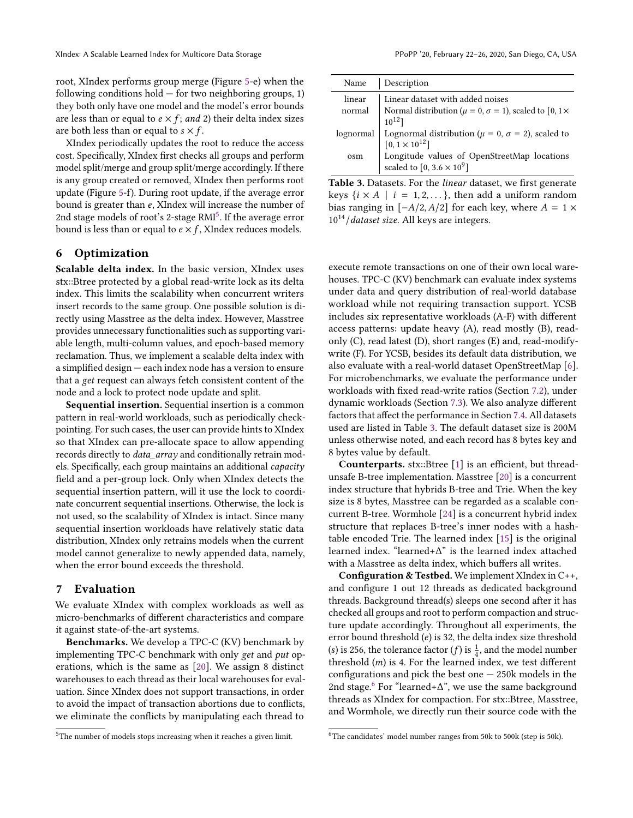root, XIndex performs group merge (Figure [5-](#page-7-3)e) when the following conditions hold  $-$  for two neighboring groups, 1) they both only have one model and the model's error bounds are less than or equal to  $e \times f$ ; and 2) their delta index sizes are both less than or equal to  $s \times f$ .

XIndex periodically updates the root to reduce the access cost. Specifically, XIndex first checks all groups and perform model split/merge and group split/merge accordingly. If there is any group created or removed, XIndex then performs root update (Figure [5-](#page-7-3)f). During root update, if the average error bound is greater than  $e$ , XIndex will increase the number of 2nd stage models of root's 2-stage RMI<sup>[5](#page-8-2)</sup>. If the average error bound is less than or equal to  $e \times f$ , XIndex reduces models.

# <span id="page-8-0"></span>6 Optimization

Scalable delta index. In the basic version, XIndex uses stx::Btree protected by a global read-write lock as its delta index. This limits the scalability when concurrent writers insert records to the same group. One possible solution is directly using Masstree as the delta index. However, Masstree provides unnecessary functionalities such as supporting variable length, multi-column values, and epoch-based memory reclamation. Thus, we implement a scalable delta index with a simplified design — each index node has a version to ensure that a get request can always fetch consistent content of the node and a lock to protect node update and split.

Sequential insertion. Sequential insertion is a common pattern in real-world workloads, such as periodically checkpointing. For such cases, the user can provide hints to XIndex so that XIndex can pre-allocate space to allow appending records directly to data\_array and conditionally retrain models. Specifically, each group maintains an additional capacity field and a per-group lock. Only when XIndex detects the sequential insertion pattern, will it use the lock to coordinate concurrent sequential insertions. Otherwise, the lock is not used, so the scalability of XIndex is intact. Since many sequential insertion workloads have relatively static data distribution, XIndex only retrains models when the current model cannot generalize to newly appended data, namely, when the error bound exceeds the threshold.

#### <span id="page-8-1"></span>7 Evaluation

We evaluate XIndex with complex workloads as well as micro-benchmarks of different characteristics and compare it against state-of-the-art systems.

Benchmarks. We develop a TPC-C (KV) benchmark by implementing TPC-C benchmark with only get and put operations, which is the same as [\[20\]](#page-12-10). We assign 8 distinct warehouses to each thread as their local warehouses for evaluation. Since XIndex does not support transactions, in order to avoid the impact of transaction abortions due to conflicts, we eliminate the conflicts by manipulating each thread to

<span id="page-8-3"></span>

| Name      | Description                                                                                                                                                                          |
|-----------|--------------------------------------------------------------------------------------------------------------------------------------------------------------------------------------|
| linear    | Linear dataset with added noises<br>normal Normal distribution ( $\mu = 0$ , $\sigma = 1$ ), scaled to [0, 1×<br>$10^{12}]$                                                          |
| lognormal |                                                                                                                                                                                      |
| osm       | Lognormal distribution ( $\mu = 0$ , $\sigma = 2$ ), scaled to<br>[0, 1 × 10 <sup>12</sup> ]<br>Longitude values of OpenStreetMap locations<br>scaled to [0, 3.6 × 10 <sup>9</sup> ] |

Table 3. Datasets. For the linear dataset, we first generate keys  $\{i \times A \mid i = 1, 2, \dots\}$ , then add a uniform random bias ranging in  $[-A/2, A/2]$  for each key, where  $A = 1 \times$  $10^{14}/data$ set size. All keys are integers.

execute remote transactions on one of their own local warehouses. TPC-C (KV) benchmark can evaluate index systems under data and query distribution of real-world database workload while not requiring transaction support. YCSB includes six representative workloads (A-F) with different access patterns: update heavy (A), read mostly (B), readonly (C), read latest (D), short ranges (E) and, read-modifywrite (F). For YCSB, besides its default data distribution, we also evaluate with a real-world dataset OpenStreetMap [\[6\]](#page-12-14). For microbenchmarks, we evaluate the performance under workloads with fixed read-write ratios (Section [7.2\)](#page-9-0), under dynamic workloads (Section [7.3\)](#page-10-1). We also analyze different factors that affect the performance in Section [7.4.](#page-10-2) All datasets used are listed in Table [3.](#page-8-3) The default dataset size is 200M unless otherwise noted, and each record has 8 bytes key and 8 bytes value by default.

Counterparts. stx::Btree [\[1\]](#page-11-0) is an efficient, but threadunsafe B-tree implementation. Masstree [\[20\]](#page-12-10) is a concurrent index structure that hybrids B-tree and Trie. When the key size is 8 bytes, Masstree can be regarded as a scalable concurrent B-tree. Wormhole [\[24\]](#page-12-11) is a concurrent hybrid index structure that replaces B-tree's inner nodes with a hashtable encoded Trie. The learned index [\[15\]](#page-12-0) is the original learned index. "learned+Δ" is the learned index attached with a Masstree as delta index, which buffers all writes.

Configuration & Testbed. We implement XIndex in C++, and configure 1 out 12 threads as dedicated background threads. Background thread(s) sleeps one second after it has checked all groups and root to perform compaction and structure update accordingly. Throughout all experiments, the error bound threshold  $(e)$  is 32, the delta index size threshold (s) is 256, the tolerance factor (*f*) is  $\frac{1}{4}$ , and the model number threshold  $(m)$  is 4. For the learned index, we test different configurations and pick the best one  $-250k$  models in the 2nd stage. $6$  For "learned+ $\Delta$ ", we use the same background threads as XIndex for compaction. For stx::Btree, Masstree, and Wormhole, we directly run their source code with the

<span id="page-8-2"></span><sup>5</sup>The number of models stops increasing when it reaches a given limit.

<span id="page-8-4"></span><sup>6</sup>The candidates' model number ranges from 50k to 500k (step is 50k).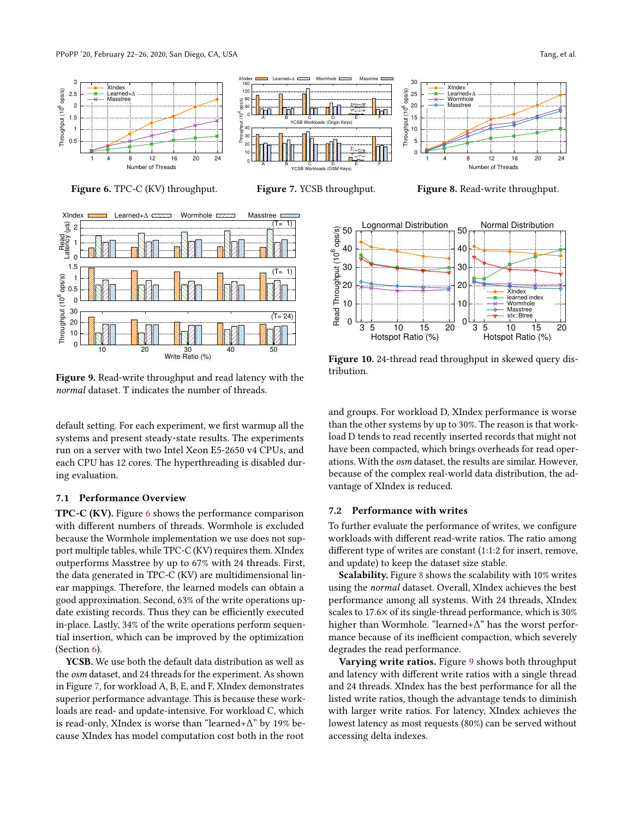

Figure 6. TPC-C (KV) throughput.

<span id="page-9-1"></span>0.5 1 1.5 2 2.5 3

Throughput (10

6 ops/s)

<span id="page-9-2"></span>

Figure 9. Read-write throughput and read latency with the normal dataset. T indicates the number of threads.

default setting. For each experiment, we first warmup all the systems and present steady-state results. The experiments run on a server with two Intel Xeon E5-2650 v4 CPUs, and each CPU has 12 cores. The hyperthreading is disabled during evaluation.

## 7.1 Performance Overview

TPC-C (KV). Figure [6](#page-9-1) shows the performance comparison with different numbers of threads. Wormhole is excluded because the Wormhole implementation we use does not support multiple tables, while TPC-C (KV) requires them. XIndex outperforms Masstree by up to 67% with 24 threads. First, the data generated in TPC-C (KV) are multidimensional linear mappings. Therefore, the learned models can obtain a good approximation. Second, 63% of the write operations update existing records. Thus they can be efficiently executed in-place. Lastly, 34% of the write operations perform sequential insertion, which can be improved by the optimization (Section [6\)](#page-8-0).

YCSB. We use both the default data distribution as well as the osm dataset, and 24 threads for the experiment. As shown in Figure [7,](#page-9-1) for workload A, B, E, and F, XIndex demonstrates superior performance advantage. This is because these workloads are read- and update-intensive. For workload C, which is read-only, XIndex is worse than "learned+Δ" by 19% because XIndex has model computation cost both in the root



Figure 8. Read-write throughput.

Number of Threads

<span id="page-9-3"></span>

Figure 10. 24-thread read throughput in skewed query distribution.

and groups. For workload D, XIndex performance is worse than the other systems by up to 30%. The reason is that workload D tends to read recently inserted records that might not have been compacted, which brings overheads for read operations. With the osm dataset, the results are similar. However, because of the complex real-world data distribution, the advantage of XIndex is reduced.

# <span id="page-9-0"></span>7.2 Performance with writes

To further evaluate the performance of writes, we configure workloads with different read-write ratios. The ratio among different type of writes are constant (1:1:2 for insert, remove, and update) to keep the dataset size stable.

Scalability. Figure [8](#page-9-1) shows the scalability with 10% writes using the normal dataset. Overall, XIndex achieves the best performance among all systems. With 24 threads, XIndex scales to 17.6× of its single-thread performance, which is 30% higher than Wormhole. "learned+Δ" has the worst performance because of its inefficient compaction, which severely degrades the read performance.

Varying write ratios. Figure [9](#page-9-2) shows both throughput and latency with different write ratios with a single thread and 24 threads. XIndex has the best performance for all the listed write ratios, though the advantage tends to diminish with larger write ratios. For latency, XIndex achieves the lowest latency as most requests (80%) can be served without accessing delta indexes.



Masstree **I** 

30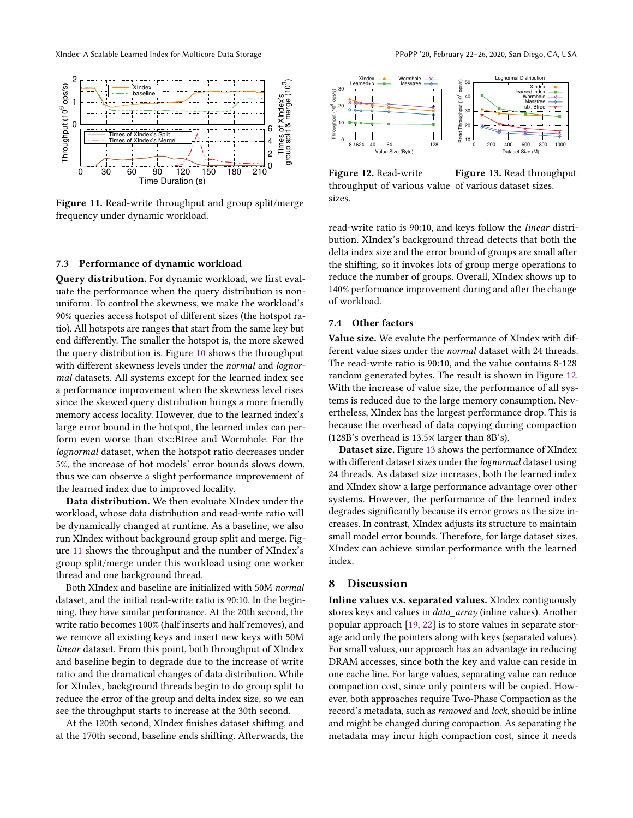<span id="page-10-3"></span>

Figure 11. Read-write throughput and group split/merge frequency under dynamic workload.

#### <span id="page-10-1"></span>7.3 Performance of dynamic workload

Query distribution. For dynamic workload, we first evaluate the performance when the query distribution is nonuniform. To control the skewness, we make the workload's 90% queries access hotspot of different sizes (the hotspot ratio). All hotspots are ranges that start from the same key but end differently. The smaller the hotspot is, the more skewed the query distribution is. Figure [10](#page-9-3) shows the throughput with different skewness levels under the *normal* and *lognor*mal datasets. All systems except for the learned index see a performance improvement when the skewness level rises since the skewed query distribution brings a more friendly memory access locality. However, due to the learned index's large error bound in the hotspot, the learned index can perform even worse than stx::Btree and Wormhole. For the lognormal dataset, when the hotspot ratio decreases under 5%, the increase of hot models' error bounds slows down, thus we can observe a slight performance improvement of the learned index due to improved locality.

Data distribution. We then evaluate XIndex under the workload, whose data distribution and read-write ratio will be dynamically changed at runtime. As a baseline, we also run XIndex without background group split and merge. Figure [11](#page-10-3) shows the throughput and the number of XIndex's group split/merge under this workload using one worker thread and one background thread.

Both XIndex and baseline are initialized with 50M normal dataset, and the initial read-write ratio is 90:10. In the beginning, they have similar performance. At the 20th second, the write ratio becomes 100% (half inserts and half removes), and we remove all existing keys and insert new keys with 50M linear dataset. From this point, both throughput of XIndex and baseline begin to degrade due to the increase of write ratio and the dramatical changes of data distribution. While for XIndex, background threads begin to do group split to reduce the error of the group and delta index size, so we can see the throughput starts to increase at the 30th second.

At the 120th second, XIndex finishes dataset shifting, and at the 170th second, baseline ends shifting. Afterwards, the

<span id="page-10-4"></span>

Figure 12. Read-write throughput of various value of various dataset sizes. sizes. Figure 13. Read throughput

read-write ratio is 90:10, and keys follow the linear distribution. XIndex's background thread detects that both the delta index size and the error bound of groups are small after the shifting, so it invokes lots of group merge operations to reduce the number of groups. Overall, XIndex shows up to 140% performance improvement during and after the change of workload.

## <span id="page-10-2"></span>7.4 Other factors

Value size. We evalute the performance of XIndex with different value sizes under the normal dataset with 24 threads. The read-write ratio is 90:10, and the value contains 8-128 random generated bytes. The result is shown in Figure [12.](#page-10-4) With the increase of value size, the performance of all systems is reduced due to the large memory consumption. Nevertheless, XIndex has the largest performance drop. This is because the overhead of data copying during compaction (128B's overhead is 13.5× larger than 8B's).

Dataset size. Figure [13](#page-10-4) shows the performance of XIndex with different dataset sizes under the *lognormal* dataset using 24 threads. As dataset size increases, both the learned index and XIndex show a large performance advantage over other systems. However, the performance of the learned index degrades significantly because its error grows as the size increases. In contrast, XIndex adjusts its structure to maintain small model error bounds. Therefore, for large dataset sizes, XIndex can achieve similar performance with the learned index.

## <span id="page-10-0"></span>8 Discussion

Inline values v.s. separated values. XIndex contiguously stores keys and values in data\_array (inline values). Another popular approach [\[19,](#page-12-15) [22\]](#page-12-16) is to store values in separate storage and only the pointers along with keys (separated values). For small values, our approach has an advantage in reducing DRAM accesses, since both the key and value can reside in one cache line. For large values, separating value can reduce compaction cost, since only pointers will be copied. However, both approaches require Two-Phase Compaction as the record's metadata, such as removed and lock, should be inline and might be changed during compaction. As separating the metadata may incur high compaction cost, since it needs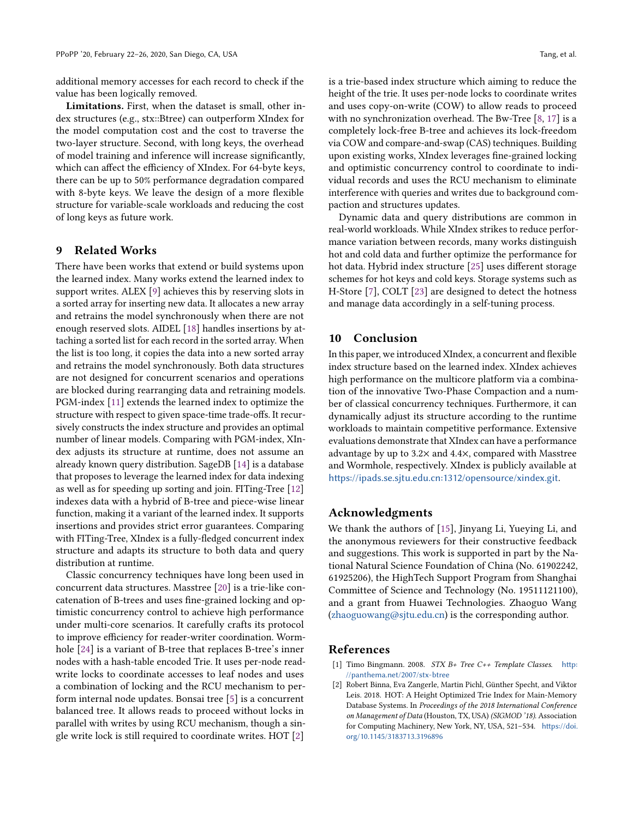additional memory accesses for each record to check if the value has been logically removed.

Limitations. First, when the dataset is small, other index structures (e.g., stx::Btree) can outperform XIndex for the model computation cost and the cost to traverse the two-layer structure. Second, with long keys, the overhead of model training and inference will increase significantly, which can affect the efficiency of XIndex. For 64-byte keys, there can be up to 50% performance degradation compared with 8-byte keys. We leave the design of a more flexible structure for variable-scale workloads and reducing the cost of long keys as future work.

# <span id="page-11-1"></span>9 Related Works

There have been works that extend or build systems upon the learned index. Many works extend the learned index to support writes. ALEX [\[9\]](#page-12-1) achieves this by reserving slots in a sorted array for inserting new data. It allocates a new array and retrains the model synchronously when there are not enough reserved slots. AIDEL [\[18\]](#page-12-2) handles insertions by attaching a sorted list for each record in the sorted array. When the list is too long, it copies the data into a new sorted array and retrains the model synchronously. Both data structures are not designed for concurrent scenarios and operations are blocked during rearranging data and retraining models. PGM-index [\[11\]](#page-12-17) extends the learned index to optimize the structure with respect to given space-time trade-offs. It recursively constructs the index structure and provides an optimal number of linear models. Comparing with PGM-index, XIndex adjusts its structure at runtime, does not assume an already known query distribution. SageDB [\[14\]](#page-12-18) is a database that proposes to leverage the learned index for data indexing as well as for speeding up sorting and join. FITing-Tree [\[12\]](#page-12-19) indexes data with a hybrid of B-tree and piece-wise linear function, making it a variant of the learned index. It supports insertions and provides strict error guarantees. Comparing with FITing-Tree, XIndex is a fully-fledged concurrent index structure and adapts its structure to both data and query distribution at runtime.

Classic concurrency techniques have long been used in concurrent data structures. Masstree [\[20\]](#page-12-10) is a trie-like concatenation of B-trees and uses fine-grained locking and optimistic concurrency control to achieve high performance under multi-core scenarios. It carefully crafts its protocol to improve efficiency for reader-writer coordination. Wormhole [\[24\]](#page-12-11) is a variant of B-tree that replaces B-tree's inner nodes with a hash-table encoded Trie. It uses per-node readwrite locks to coordinate accesses to leaf nodes and uses a combination of locking and the RCU mechanism to perform internal node updates. Bonsai tree [\[5\]](#page-12-20) is a concurrent balanced tree. It allows reads to proceed without locks in parallel with writes by using RCU mechanism, though a single write lock is still required to coordinate writes. HOT [\[2\]](#page-11-3)

is a trie-based index structure which aiming to reduce the height of the trie. It uses per-node locks to coordinate writes and uses copy-on-write (COW) to allow reads to proceed with no synchronization overhead. The Bw-Tree [\[8,](#page-12-21) [17\]](#page-12-22) is a completely lock-free B-tree and achieves its lock-freedom via COW and compare-and-swap (CAS) techniques. Building upon existing works, XIndex leverages fine-grained locking and optimistic concurrency control to coordinate to individual records and uses the RCU mechanism to eliminate interference with queries and writes due to background compaction and structures updates.

Dynamic data and query distributions are common in real-world workloads. While XIndex strikes to reduce performance variation between records, many works distinguish hot and cold data and further optimize the performance for hot data. Hybrid index structure [\[25\]](#page-12-6) uses different storage schemes for hot keys and cold keys. Storage systems such as H-Store [\[7\]](#page-12-3), COLT [\[23\]](#page-12-23) are designed to detect the hotness and manage data accordingly in a self-tuning process.

# <span id="page-11-2"></span>10 Conclusion

In this paper, we introduced XIndex, a concurrent and flexible index structure based on the learned index. XIndex achieves high performance on the multicore platform via a combination of the innovative Two-Phase Compaction and a number of classical concurrency techniques. Furthermore, it can dynamically adjust its structure according to the runtime workloads to maintain competitive performance. Extensive evaluations demonstrate that XIndex can have a performance advantage by up to 3.2× and 4.4×, compared with Masstree and Wormhole, respectively. XIndex is publicly available at <https://ipads.se.sjtu.edu.cn:1312/opensource/xindex.git>.

# Acknowledgments

We thank the authors of [\[15\]](#page-12-0), Jinyang Li, Yueying Li, and the anonymous reviewers for their constructive feedback and suggestions. This work is supported in part by the National Natural Science Foundation of China (No. 61902242, 61925206), the HighTech Support Program from Shanghai Committee of Science and Technology (No. 19511121100), and a grant from Huawei Technologies. Zhaoguo Wang [\(zhaoguowang@sjtu.edu.cn\)](mailto:zhaoguowang@sjtu.edu.cn) is the corresponding author.

# References

- <span id="page-11-0"></span>[1] Timo Bingmann. 2008. STX B+ Tree C++ Template Classes. [http:](http://panthema.net/2007/stx-btree) [//panthema.net/2007/stx-btree](http://panthema.net/2007/stx-btree)
- <span id="page-11-3"></span>[2] Robert Binna, Eva Zangerle, Martin Pichl, Günther Specht, and Viktor Leis. 2018. HOT: A Height Optimized Trie Index for Main-Memory Database Systems. In Proceedings of the 2018 International Conference on Management of Data (Houston, TX, USA) (SIGMOD '18). Association for Computing Machinery, New York, NY, USA, 521–534. [https://doi.](https://doi.org/10.1145/3183713.3196896) [org/10.1145/3183713.3196896](https://doi.org/10.1145/3183713.3196896)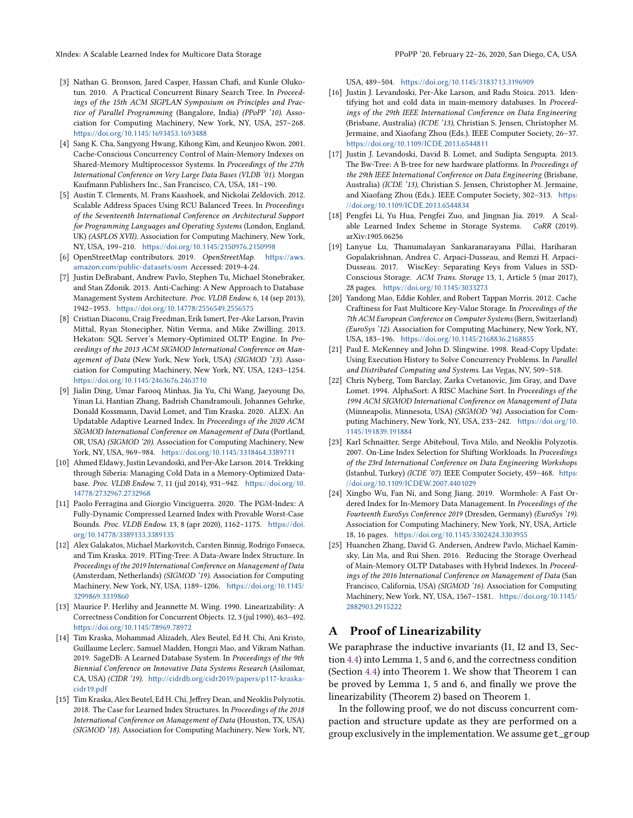- <span id="page-12-8"></span>[3] Nathan G. Bronson, Jared Casper, Hassan Chafi, and Kunle Olukotun. 2010. A Practical Concurrent Binary Search Tree. In Proceedings of the 15th ACM SIGPLAN Symposium on Principles and Practice of Parallel Programming (Bangalore, India) (PPoPP '10). Association for Computing Machinery, New York, NY, USA, 257–268. <https://doi.org/10.1145/1693453.1693488>
- <span id="page-12-9"></span>[4] Sang K. Cha, Sangyong Hwang, Kihong Kim, and Keunjoo Kwon. 2001. Cache-Conscious Concurrency Control of Main-Memory Indexes on Shared-Memory Multiprocessor Systems. In Proceedings of the 27th International Conference on Very Large Data Bases (VLDB '01). Morgan Kaufmann Publishers Inc., San Francisco, CA, USA, 181–190.
- <span id="page-12-20"></span>[5] Austin T. Clements, M. Frans Kaashoek, and Nickolai Zeldovich. 2012. Scalable Address Spaces Using RCU Balanced Trees. In Proceedings of the Seventeenth International Conference on Architectural Support for Programming Languages and Operating Systems (London, England, UK) (ASPLOS XVII). Association for Computing Machinery, New York, NY, USA, 199–210. <https://doi.org/10.1145/2150976.2150998>
- <span id="page-12-14"></span>[6] OpenStreetMap contributors. 2019. OpenStreetMap. [https://aws.](https://aws.amazon.com/public-datasets/osm) [amazon.com/public-datasets/osm](https://aws.amazon.com/public-datasets/osm) Accessed: 2019-4-24.
- <span id="page-12-3"></span>[7] Justin DeBrabant, Andrew Pavlo, Stephen Tu, Michael Stonebraker, and Stan Zdonik. 2013. Anti-Caching: A New Approach to Database Management System Architecture. Proc. VLDB Endow. 6, 14 (sep 2013), 1942–1953. <https://doi.org/10.14778/2556549.2556575>
- <span id="page-12-21"></span>[8] Cristian Diaconu, Craig Freedman, Erik Ismert, Per-Ake Larson, Pravin Mittal, Ryan Stonecipher, Nitin Verma, and Mike Zwilling. 2013. Hekaton: SQL Server's Memory-Optimized OLTP Engine. In Proceedings of the 2013 ACM SIGMOD International Conference on Management of Data (New York, New York, USA) (SIGMOD '13). Association for Computing Machinery, New York, NY, USA, 1243–1254. <https://doi.org/10.1145/2463676.2463710>
- <span id="page-12-1"></span>[9] Jialin Ding, Umar Farooq Minhas, Jia Yu, Chi Wang, Jaeyoung Do, Yinan Li, Hantian Zhang, Badrish Chandramouli, Johannes Gehrke, Donald Kossmann, David Lomet, and Tim Kraska. 2020. ALEX: An Updatable Adaptive Learned Index. In Proceedings of the 2020 ACM SIGMOD International Conference on Management of Data (Portland, OR, USA) (SIGMOD '20). Association for Computing Machinery, New York, NY, USA, 969–984. <https://doi.org/10.1145/3318464.3389711>
- <span id="page-12-4"></span>[10] Ahmed Eldawy, Justin Levandoski, and Per-Åke Larson. 2014. Trekking through Siberia: Managing Cold Data in a Memory-Optimized Database. Proc. VLDB Endow. 7, 11 (jul 2014), 931–942. [https://doi.org/10.](https://doi.org/10.14778/2732967.2732968) [14778/2732967.2732968](https://doi.org/10.14778/2732967.2732968)
- <span id="page-12-17"></span>[11] Paolo Ferragina and Giorgio Vinciguerra. 2020. The PGM-Index: A Fully-Dynamic Compressed Learned Index with Provable Worst-Case Bounds. Proc. VLDB Endow. 13, 8 (apr 2020), 1162–1175. [https://doi.](https://doi.org/10.14778/3389133.3389135) [org/10.14778/3389133.3389135](https://doi.org/10.14778/3389133.3389135)
- <span id="page-12-19"></span>[12] Alex Galakatos, Michael Markovitch, Carsten Binnig, Rodrigo Fonseca, and Tim Kraska. 2019. FITing-Tree: A Data-Aware Index Structure. In Proceedings of the 2019 International Conference on Management of Data (Amsterdam, Netherlands) (SIGMOD '19). Association for Computing Machinery, New York, NY, USA, 1189–1206. [https://doi.org/10.1145/](https://doi.org/10.1145/3299869.3319860) [3299869.3319860](https://doi.org/10.1145/3299869.3319860)
- <span id="page-12-13"></span>[13] Maurice P. Herlihy and Jeannette M. Wing. 1990. Linearizability: A Correctness Condition for Concurrent Objects. 12, 3 (jul 1990), 463–492. <https://doi.org/10.1145/78969.78972>
- <span id="page-12-18"></span>[14] Tim Kraska, Mohammad Alizadeh, Alex Beutel, Ed H. Chi, Ani Kristo, Guillaume Leclerc, Samuel Madden, Hongzi Mao, and Vikram Nathan. 2019. SageDB: A Learned Database System. In Proceedings of the 9th Biennial Conference on Innovative Data Systems Research (Asilomar, CA, USA) (CIDR '19). [http://cidrdb.org/cidr2019/papers/p117-kraska](http://cidrdb.org/cidr2019/papers/p117-kraska-cidr19.pdf)[cidr19.pdf](http://cidrdb.org/cidr2019/papers/p117-kraska-cidr19.pdf)
- <span id="page-12-0"></span>[15] Tim Kraska, Alex Beutel, Ed H. Chi, Jeffrey Dean, and Neoklis Polyzotis. 2018. The Case for Learned Index Structures. In Proceedings of the 2018 International Conference on Management of Data (Houston, TX, USA) (SIGMOD '18). Association for Computing Machinery, New York, NY,

#### USA, 489–504. <https://doi.org/10.1145/3183713.3196909>

- <span id="page-12-5"></span>[16] Justin J. Levandoski, Per-Åke Larson, and Radu Stoica. 2013. Identifying hot and cold data in main-memory databases. In Proceedings of the 29th IEEE International Conference on Data Engineering (Brisbane, Australia) (ICDE '13), Christian S. Jensen, Christopher M. Jermaine, and Xiaofang Zhou (Eds.). IEEE Computer Society, 26–37. <https://doi.org/10.1109/ICDE.2013.6544811>
- <span id="page-12-22"></span>[17] Justin J. Levandoski, David B. Lomet, and Sudipta Sengupta. 2013. The Bw-Tree: A B-tree for new hardware platforms. In Proceedings of the 29th IEEE International Conference on Data Engineering (Brisbane, Australia) (ICDE '13), Christian S. Jensen, Christopher M. Jermaine, and Xiaofang Zhou (Eds.). IEEE Computer Society, 302–313. [https:](https://doi.org/10.1109/ICDE.2013.6544834) [//doi.org/10.1109/ICDE.2013.6544834](https://doi.org/10.1109/ICDE.2013.6544834)
- <span id="page-12-2"></span>[18] Pengfei Li, Yu Hua, Pengfei Zuo, and Jingnan Jia. 2019. A Scalable Learned Index Scheme in Storage Systems. CoRR (2019). arXiv:1905.06256
- <span id="page-12-15"></span>[19] Lanyue Lu, Thanumalayan Sankaranarayana Pillai, Hariharan Gopalakrishnan, Andrea C. Arpaci-Dusseau, and Remzi H. Arpaci-Dusseau. 2017. WiscKey: Separating Keys from Values in SSD-Conscious Storage. ACM Trans. Storage 13, 1, Article 5 (mar 2017), 28 pages. <https://doi.org/10.1145/3033273>
- <span id="page-12-10"></span>[20] Yandong Mao, Eddie Kohler, and Robert Tappan Morris. 2012. Cache Craftiness for Fast Multicore Key-Value Storage. In Proceedings of the 7th ACM European Conference on Computer Systems (Bern, Switzerland) (EuroSys '12). Association for Computing Machinery, New York, NY, USA, 183–196. <https://doi.org/10.1145/2168836.2168855>
- <span id="page-12-7"></span>[21] Paul E. McKenney and John D. Slingwine. 1998. Read-Copy Update: Using Execution History to Solve Concurrency Problems. In Parallel and Distributed Computing and Systems. Las Vegas, NV, 509–518.
- <span id="page-12-16"></span>[22] Chris Nyberg, Tom Barclay, Zarka Cvetanovic, Jim Gray, and Dave Lomet. 1994. AlphaSort: A RISC Machine Sort. In Proceedings of the 1994 ACM SIGMOD International Conference on Management of Data (Minneapolis, Minnesota, USA) (SIGMOD '94). Association for Computing Machinery, New York, NY, USA, 233–242. [https://doi.org/10.](https://doi.org/10.1145/191839.191884) [1145/191839.191884](https://doi.org/10.1145/191839.191884)
- <span id="page-12-23"></span>[23] Karl Schnaitter, Serge Abiteboul, Tova Milo, and Neoklis Polyzotis. 2007. On-Line Index Selection for Shifting Workloads. In Proceedings of the 23rd International Conference on Data Engineering Workshops (Istanbul, Turkey) (ICDE '07). IEEE Computer Society, 459–468. [https:](https://doi.org/10.1109/ICDEW.2007.4401029) [//doi.org/10.1109/ICDEW.2007.4401029](https://doi.org/10.1109/ICDEW.2007.4401029)
- <span id="page-12-11"></span>[24] Xingbo Wu, Fan Ni, and Song Jiang. 2019. Wormhole: A Fast Ordered Index for In-Memory Data Management. In Proceedings of the Fourteenth EuroSys Conference 2019 (Dresden, Germany) (EuroSys '19). Association for Computing Machinery, New York, NY, USA, Article 18, 16 pages. <https://doi.org/10.1145/3302424.3303955>
- <span id="page-12-6"></span>[25] Huanchen Zhang, David G. Andersen, Andrew Pavlo, Michael Kaminsky, Lin Ma, and Rui Shen. 2016. Reducing the Storage Overhead of Main-Memory OLTP Databases with Hybrid Indexes. In Proceedings of the 2016 International Conference on Management of Data (San Francisco, California, USA) (SIGMOD '16). Association for Computing Machinery, New York, NY, USA, 1567–1581. [https://doi.org/10.1145/](https://doi.org/10.1145/2882903.2915222) [2882903.2915222](https://doi.org/10.1145/2882903.2915222)

# <span id="page-12-12"></span>A Proof of Linearizability

We paraphrase the inductive invariants (I1, I2 and I3, Section [4.4\)](#page-7-1) into Lemma 1, 5 and 6, and the correctness condition (Section [4.4\)](#page-7-1) into Theorem 1. We show that Theorem 1 can be proved by Lemma 1, 5 and 6, and finally we prove the linearizability (Theorem 2) based on Theorem 1.

In the following proof, we do not discuss concurrent compaction and structure update as they are performed on a group exclusively in the implementation. We assume get\_group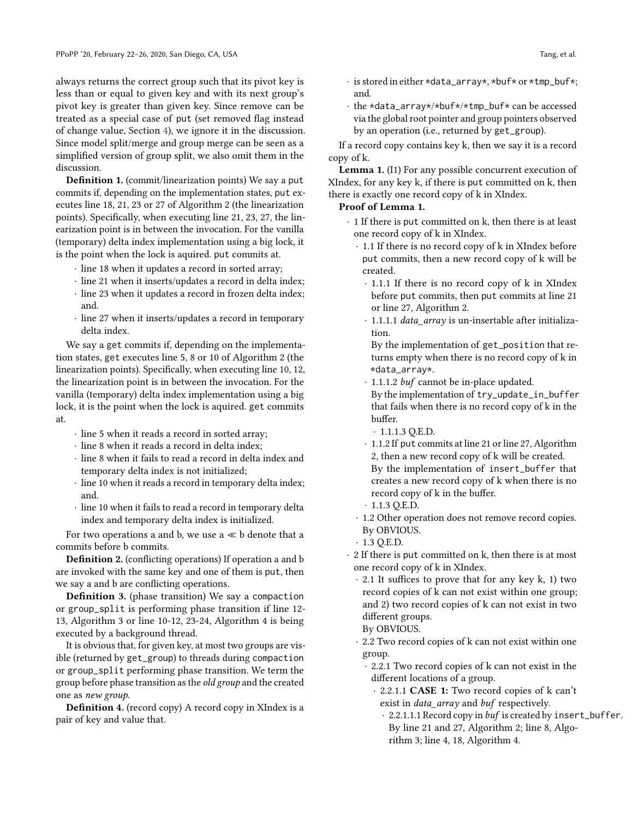always returns the correct group such that its pivot key is less than or equal to given key and with its next group's pivot key is greater than given key. Since remove can be treated as a special case of put (set removed flag instead of change value, Section [4\)](#page-6-0), we ignore it in the discussion. Since model split/merge and group merge can be seen as a simplified version of group split, we also omit them in the discussion.

Definition 1. (commit/linearization points) We say a put commits if, depending on the implementation states, put executes line 18, 21, 23 or 27 of Algorithm 2 (the linearization points). Specifically, when executing line 21, 23, 27, the linearization point is in between the invocation. For the vanilla (temporary) delta index implementation using a big lock, it is the point when the lock is aquired. put commits at.

- · line 18 when it updates a record in sorted array;
- · line 21 when it inserts/updates a record in delta index;
- · line 23 when it updates a record in frozen delta index; and.
- · line 27 when it inserts/updates a record in temporary delta index.

We say a get commits if, depending on the implementation states, get executes line 5, 8 or 10 of Algorithm 2 (the linearization points). Specifically, when executing line 10, 12, the linearization point is in between the invocation. For the vanilla (temporary) delta index implementation using a big lock, it is the point when the lock is aquired. get commits at.

- · line 5 when it reads a record in sorted array;
- · line 8 when it reads a record in delta index;
- · line 8 when it fails to read a record in delta index and temporary delta index is not initialized;
- · line 10 when it reads a record in temporary delta index; and.
- · line 10 when it fails to read a record in temporary delta index and temporary delta index is initialized.

For two operations a and b, we use  $a \ll b$  denote that a commits before b commits.

Definition 2. (conflicting operations) If operation a and b are invoked with the same key and one of them is put, then we say a and b are conflicting operations.

Definition 3. (phase transition) We say a compaction or group\_split is performing phase transition if line 12- 13, Algorithm 3 or line 10-12, 23-24, Algorithm 4 is being executed by a background thread.

It is obvious that, for given key, at most two groups are visible (returned by get\_group) to threads during compaction or group\_split performing phase transition. We term the group before phase transition as the old group and the created one as new group.

Definition 4. (record copy) A record copy in XIndex is a pair of key and value that.

- · is stored in either \*data\_array\*, \*buf\* or \*tmp\_buf\*; and.
- · the \*data\_array\*/\*buf\*/\*tmp\_buf\* can be accessed via the global root pointer and group pointers observed by an operation (i.e., returned by get\_group).

If a record copy contains key k, then we say it is a record copy of k.

Lemma 1. (I1) For any possible concurrent execution of XIndex, for any key k, if there is put committed on k, then there is exactly one record copy of k in XIndex.

## Proof of Lemma 1.

- · 1 If there is put committed on k, then there is at least one record copy of k in XIndex.
	- · 1.1 If there is no record copy of k in XIndex before put commits, then a new record copy of k will be created.
		- · 1.1.1 If there is no record copy of k in XIndex before put commits, then put commits at line 21 or line 27, Algorithm 2.
		- · 1.1.1.1 data\_array is un-insertable after initialization.

By the implementation of get\_position that returns empty when there is no record copy of k in \*data\_array\*.

- · 1.1.1.2 buf cannot be in-place updated.
- By the implementation of try\_update\_in\_buffer that fails when there is no record copy of k in the buffer.
- $\cdot$  1.1.1.3 Q.E.D.
- · 1.1.2 If put commits at line 21 or line 27, Algorithm 2, then a new record copy of k will be created. By the implementation of insert\_buffer that creates a new record copy of k when there is no record copy of k in the buffer.
- $\cdot$  1.1.3 Q.E.D.
- · 1.2 Other operation does not remove record copies. By OBVIOUS.
- $\cdot$  1.3 Q.E.D.
- · 2 If there is put committed on k, then there is at most one record copy of k in XIndex.
	- · 2.1 It suffices to prove that for any key k, 1) two record copies of k can not exist within one group; and 2) two record copies of k can not exist in two different groups.

By OBVIOUS.

- · 2.2 Two record copies of k can not exist within one group.
	- · 2.2.1 Two record copies of k can not exist in the different locations of a group.
		- · 2.2.1.1 CASE 1: Two record copies of k can't exist in *data\_array* and *buf* respectively.
			- · 2.2.1.1.1 Record copy in buf is created by insert\_buffer. By line 21 and 27, Algorithm 2; line 8, Algorithm 3; line 4, 18, Algorithm 4.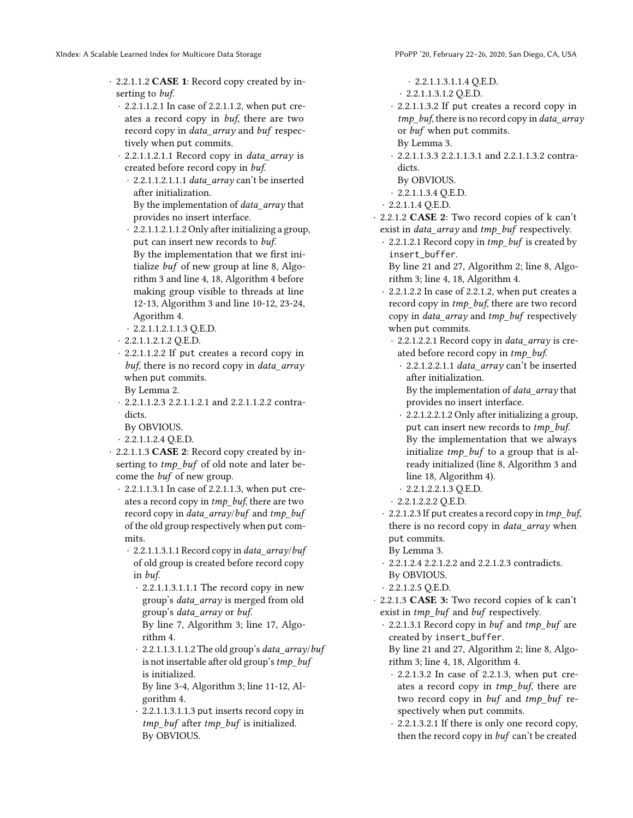- · 2.2.1.1.2 CASE 1: Record copy created by inserting to buf.
	- · 2.2.1.1.2.1 In case of 2.2.1.1.2, when put creates a record copy in buf, there are two record copy in data\_array and buf respectively when put commits.
	- $\cdot$  2.2.1.1.2.1.1 Record copy in *data array* is created before record copy in buf.
		- · 2.2.1.1.2.1.1.1 data\_array can't be inserted after initialization. By the implementation of data\_array that provides no insert interface.
		- · 2.2.1.1.2.1.1.2 Only after initializing a group, put can insert new records to buf. By the implementation that we first initialize buf of new group at line 8, Algorithm 3 and line 4, 18, Algorithm 4 before making group visible to threads at line 12-13, Algorithm 3 and line 10-12, 23-24, Agorithm 4.
		- · 2.2.1.1.2.1.1.3 Q.E.D.
	- · 2.2.1.1.2.1.2 Q.E.D.
	- · 2.2.1.1.2.2 If put creates a record copy in buf, there is no record copy in *data array* when put commits.
	- By Lemma 2.
	- · 2.2.1.1.2.3 2.2.1.1.2.1 and 2.2.1.1.2.2 contradicts.
	- By OBVIOUS.
	- · 2.2.1.1.2.4 Q.E.D.
- · 2.2.1.1.3 CASE 2: Record copy created by inserting to tmp\_buf\_of old note and later become the buf of new group.
	- · 2.2.1.1.3.1 In case of 2.2.1.1.3, when put creates a record copy in *tmp\_buf*, there are two record copy in data\_array/buf and tmp\_buf of the old group respectively when put commits.
		- · 2.2.1.1.3.1.1 Record copy in data\_array/buf of old group is created before record copy in buf.
			- · 2.2.1.1.3.1.1.1 The record copy in new group's data\_array is merged from old group's data\_array or buf.
			- By line 7, Algorithm 3; line 17, Algorithm 4.
			- $\cdot$  2.2.1.1.3.1.1.2 The old group's data\_array/buf is not insertable after old group's  $tmp$  buf is initialized.

By line 3-4, Algorithm 3; line 11-12, Algorithm 4.

 $2.2.1.1.3.1.1.3$  put inserts record copy in tmp\_buf after tmp\_buf is initialized. By OBVIOUS.

- · 2.2.1.1.3.1.1.4 Q.E.D.
- · 2.2.1.1.3.1.2 Q.E.D.
- · 2.2.1.1.3.2 If put creates a record copy in tmp\_buf, there is no record copy in data\_array or buf when put commits.
- By Lemma 3.

· 2.2.1.1.3.3 2.2.1.1.3.1 and 2.2.1.1.3.2 contradicts.

- By OBVIOUS.
- · 2.2.1.1.3.4 Q.E.D.
- · 2.2.1.1.4 Q.E.D.
- · 2.2.1.2 CASE 2: Two record copies of k can't exist in *data\_array* and *tmp\_buf* respectively.
	- · 2.2.1.2.1 Record copy in tmp\_buf is created by insert\_buffer.
	- By line 21 and 27, Algorithm 2; line 8, Algorithm 3; line 4, 18, Algorithm 4.
	- · 2.2.1.2.2 In case of 2.2.1.2, when put creates a record copy in tmp\_buf, there are two record copy in data\_array and tmp\_buf respectively when put commits.
		- · 2.2.1.2.2.1 Record copy in data\_array is created before record copy in tmp\_buf.
			- · 2.2.1.2.2.1.1 data\_array can't be inserted after initialization.
			- By the implementation of data\_array that provides no insert interface.
		- · 2.2.1.2.2.1.2 Only after initializing a group, put can insert new records to tmp\_buf. By the implementation that we always initialize  $tmp$  buf to a group that is already initialized (line 8, Algorithm 3 and line 18, Algorithm 4).
		- · 2.2.1.2.2.1.3 Q.E.D.
	- · 2.2.1.2.2.2 Q.E.D.
	- · 2.2.1.2.3 If put creates a record copy in tmp\_buf, there is no record copy in data\_array when put commits.
	- By Lemma 3.
	- · 2.2.1.2.4 2.2.1.2.2 and 2.2.1.2.3 contradicts. By OBVIOUS.
	- $\cdot$  2.2.1.2.5 Q.E.D.
- · 2.2.1.3 CASE 3: Two record copies of k can't exist in  $tmp\_buf$  and buf respectively.
	- · 2.2.1.3.1 Record copy in buf and tmp\_buf are created by insert\_buffer.

By line 21 and 27, Algorithm 2; line 8, Algorithm 3; line 4, 18, Algorithm 4.

- · 2.2.1.3.2 In case of 2.2.1.3, when put creates a record copy in tmp\_buf, there are two record copy in buf and tmp\_buf respectively when put commits.
- · 2.2.1.3.2.1 If there is only one record copy, then the record copy in buf can't be created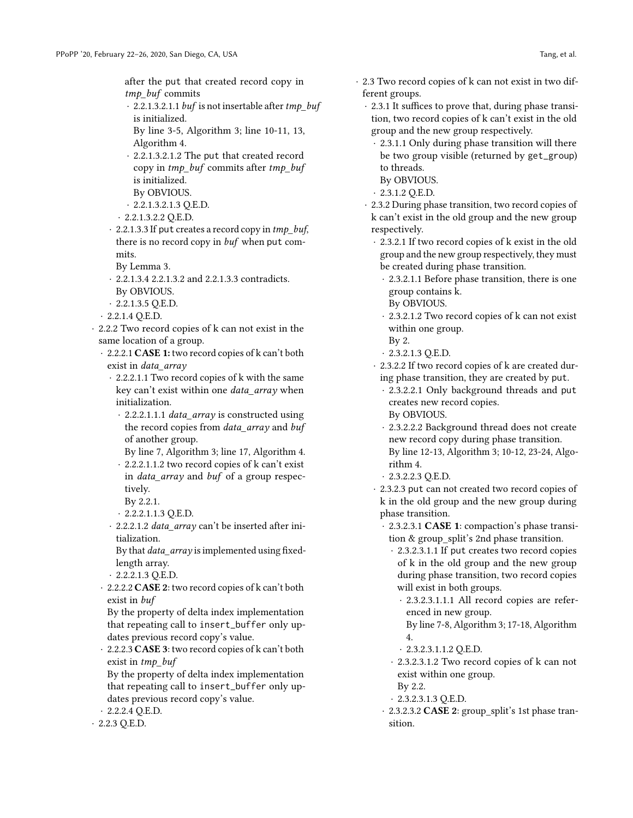after the put that created record copy in tmp\_buf commits

- $\cdot$  2.2.1.3.2.1.1 buf is not insertable after tmp\_buf is initialized.
- By line 3-5, Algorithm 3; line 10-11, 13, Algorithm 4.
- · 2.2.1.3.2.1.2 The put that created record copy in tmp\_buf commits after tmp\_buf is initialized.
- By OBVIOUS.
- · 2.2.1.3.2.1.3 Q.E.D.
- $\cdot$  2.2.1.3.2.2 Q.E.D.
- $\cdot$  2.2.1.3.3 If put creates a record copy in  $tmp\_buf$ , there is no record copy in *buf* when put commits.
	- By Lemma 3.
- · 2.2.1.3.4 2.2.1.3.2 and 2.2.1.3.3 contradicts. By OBVIOUS.
- $\cdot$  2.2.1.3.5 Q.E.D.
- $\cdot$  2.2.1.4 Q.E.D.
- · 2.2.2 Two record copies of k can not exist in the same location of a group.
	- · 2.2.2.1 CASE 1: two record copies of k can't both exist in data array
		- · 2.2.2.1.1 Two record copies of k with the same key can't exist within one data\_array when initialization.
			- · 2.2.2.1.1.1 data\_array is constructed using the record copies from data\_array and buf of another group.
			- By line 7, Algorithm 3; line 17, Algorithm 4.
			- · 2.2.2.1.1.2 two record copies of k can't exist in *data array* and *buf* of a group respectively.
			- By 2.2.1.
			- · 2.2.2.1.1.3 Q.E.D.
		- · 2.2.2.1.2 data\_array can't be inserted after initialization.

By that data\_array is implemented using fixedlength array.

- $\cdot$  2.2.2.1.3 Q.E.D.
- · 2.2.2.2 CASE 2: two record copies of k can't both exist in buf

By the property of delta index implementation that repeating call to insert\_buffer only updates previous record copy's value.

· 2.2.2.3 CASE 3: two record copies of k can't both exist in tmp\_buf

By the property of delta index implementation that repeating call to insert\_buffer only updates previous record copy's value.

- $\cdot$  2.2.2.4 Q.E.D.
- · 2.2.3 Q.E.D.
- · 2.3 Two record copies of k can not exist in two different groups.
	- · 2.3.1 It suffices to prove that, during phase transition, two record copies of k can't exist in the old group and the new group respectively.
	- · 2.3.1.1 Only during phase transition will there be two group visible (returned by get\_group) to threads.
	- By OBVIOUS.
	- · 2.3.1.2 Q.E.D.
	- · 2.3.2 During phase transition, two record copies of k can't exist in the old group and the new group respectively.
		- · 2.3.2.1 If two record copies of k exist in the old group and the new group respectively, they must be created during phase transition.
			- · 2.3.2.1.1 Before phase transition, there is one group contains k.
			- By OBVIOUS.
			- · 2.3.2.1.2 Two record copies of k can not exist within one group.
			- By 2.
			- · 2.3.2.1.3 Q.E.D.
		- · 2.3.2.2 If two record copies of k are created during phase transition, they are created by put.
			- · 2.3.2.2.1 Only background threads and put creates new record copies.
			- By OBVIOUS.
			- · 2.3.2.2.2 Background thread does not create new record copy during phase transition. By line 12-13, Algorithm 3; 10-12, 23-24, Algorithm 4.
			- · 2.3.2.2.3 Q.E.D.
		- · 2.3.2.3 put can not created two record copies of k in the old group and the new group during phase transition.
			- · 2.3.2.3.1 CASE 1: compaction's phase transition & group\_split's 2nd phase transition.
				- · 2.3.2.3.1.1 If put creates two record copies of k in the old group and the new group during phase transition, two record copies will exist in both groups.
					- · 2.3.2.3.1.1.1 All record copies are referenced in new group.
					- By line 7-8, Algorithm 3; 17-18, Algorithm 4.
					- · 2.3.2.3.1.1.2 Q.E.D.
				- · 2.3.2.3.1.2 Two record copies of k can not exist within one group.
				- By 2.2.
				- · 2.3.2.3.1.3 Q.E.D.
			- · 2.3.2.3.2 CASE 2: group\_split's 1st phase transition.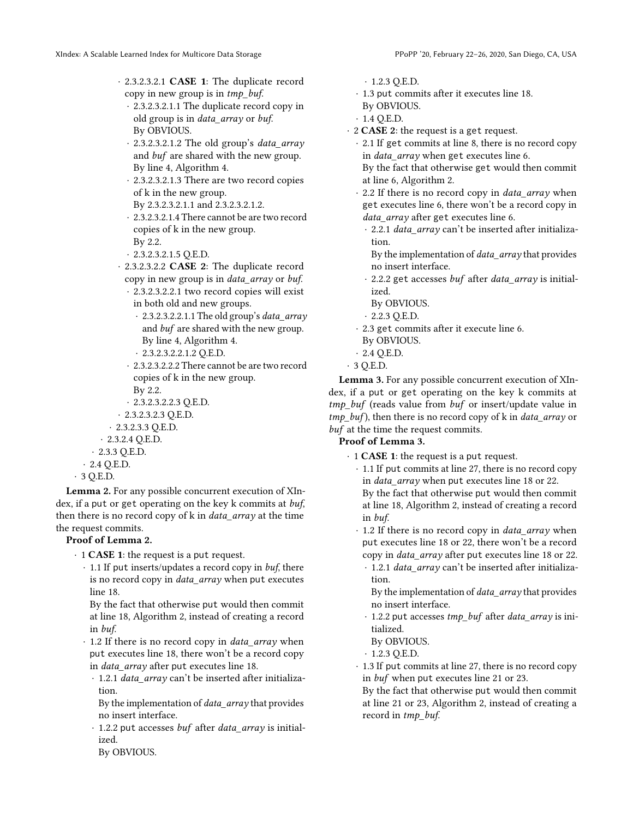- · 2.3.2.3.2.1.1 The duplicate record copy in old group is in data\_array or buf. By OBVIOUS.
- · 2.3.2.3.2.1.2 The old group's data\_array and buf are shared with the new group. By line 4, Algorithm 4.
- · 2.3.2.3.2.1.3 There are two record copies of k in the new group.
- By 2.3.2.3.2.1.1 and 2.3.2.3.2.1.2.
- · 2.3.2.3.2.1.4 There cannot be are two record copies of k in the new group. By 2.2.
- · 2.3.2.3.2.1.5 Q.E.D.
- · 2.3.2.3.2.2 CASE 2: The duplicate record copy in new group is in data\_array or buf.
	- · 2.3.2.3.2.2.1 two record copies will exist in both old and new groups.
		- $\cdot$  2.3.2.3.2.2.1.1 The old group's *data array* and buf are shared with the new group. By line 4, Algorithm 4.
		- · 2.3.2.3.2.2.1.2 Q.E.D.
- · 2.3.2.3.2.2.2 There cannot be are two record copies of k in the new group.
- By 2.2.
- · 2.3.2.3.2.2.3 Q.E.D.
- · 2.3.2.3.2.3 Q.E.D.
- $\cdot$  2.3.2.3.3 Q.E.D.
- · 2.3.2.4 Q.E.D.
- · 2.3.3 Q.E.D.
- · 2.4 Q.E.D.
- · 3 Q.E.D.

Lemma 2. For any possible concurrent execution of XIndex, if a put or get operating on the key k commits at buf, then there is no record copy of k in *data\_array* at the time the request commits.

# Proof of Lemma 2.

- $\cdot$  1 CASE 1: the request is a put request.
	- $\cdot$  1.1 If put inserts/updates a record copy in buf, there is no record copy in data\_array when put executes line 18.

By the fact that otherwise put would then commit at line 18, Algorithm 2, instead of creating a record in buf.

- · 1.2 If there is no record copy in *data\_array* when put executes line 18, there won't be a record copy in *data* array after put executes line 18.
	- $\cdot$  1.2.1 data array can't be inserted after initialization.

By the implementation of data\_array that provides no insert interface.

- · 1.2.2 put accesses buf after data\_array is initialized.
- By OBVIOUS.
- · 1.2.3 Q.E.D.
- · 1.3 put commits after it executes line 18.
- By OBVIOUS.
- $\cdot$  1.4 Q.E.D.
- · 2 CASE 2: the request is a get request.
	- · 2.1 If get commits at line 8, there is no record copy in *data array* when get executes line 6.
	- By the fact that otherwise get would then commit at line 6, Algorithm 2.
	- 2.2 If there is no record copy in *data\_array* when get executes line 6, there won't be a record copy in data array after get executes line 6.
		- · 2.2.1 data\_array can't be inserted after initialization.
			- By the implementation of *data\_array* that provides no insert interface.
		- · 2.2.2 get accesses buf after data\_array is initialized.
		- By OBVIOUS.
		- · 2.2.3 Q.E.D.
	- · 2.3 get commits after it execute line 6.
	- By OBVIOUS.
	- · 2.4 Q.E.D.
- · 3 Q.E.D.

Lemma 3. For any possible concurrent execution of XIndex, if a put or get operating on the key k commits at  $tmp$  buf (reads value from buf or insert/update value in  $tmp_buf$ ), then there is no record copy of k in *data array* or buf at the time the request commits.

# Proof of Lemma 3.

· 1 CASE 1: the request is a put request.

· 1.1 If put commits at line 27, there is no record copy in data\_array when put executes line 18 or 22.

By the fact that otherwise put would then commit at line 18, Algorithm 2, instead of creating a record in buf.

- · 1.2 If there is no record copy in data\_array when put executes line 18 or 22, there won't be a record copy in data\_array after put executes line 18 or 22.
	- · 1.2.1 data\_array can't be inserted after initialization.
	- By the implementation of *data\_array* that provides no insert interface.
	- · 1.2.2 put accesses tmp\_buf after data\_array is initialized.
	- By OBVIOUS.
	- $\cdot$  1.2.3 Q.E.D.
- · 1.3 If put commits at line 27, there is no record copy in buf when put executes line 21 or 23.
- By the fact that otherwise put would then commit at line 21 or 23, Algorithm 2, instead of creating a record in tmp\_buf.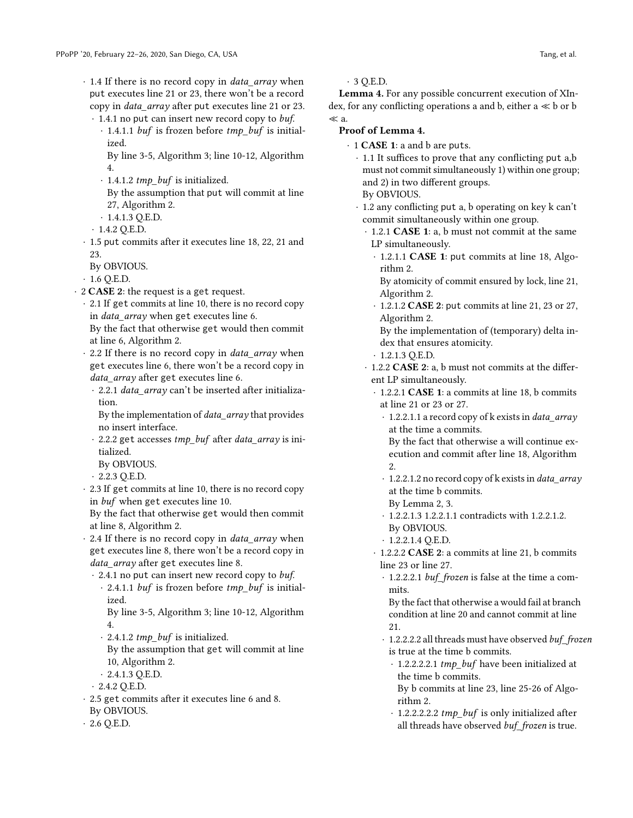- · 1.4 If there is no record copy in data\_array when put executes line 21 or 23, there won't be a record copy in data\_array after put executes line 21 or 23. · 1.4.1 no put can insert new record copy to buf.
	- $\cdot$  1.4.1.1 *buf* is frozen before *tmp\_buf* is initialized.
		- By line 3-5, Algorithm 3; line 10-12, Algorithm 4.
	- · 1.4.1.2 tmp\_buf is initialized.

By the assumption that put will commit at line 27, Algorithm 2.

- $\cdot$  1.4.1.3 Q.E.D.
- $\cdot$  1.4.2 Q.E.D.
- · 1.5 put commits after it executes line 18, 22, 21 and 23.
- By OBVIOUS.
- $\cdot$  1.6 Q.E.D.
- · 2 CASE 2: the request is a get request.
	- · 2.1 If get commits at line 10, there is no record copy in *data array* when get executes line 6. By the fact that otherwise get would then commit
		- at line 6, Algorithm 2.
	- · 2.2 If there is no record copy in data\_array when get executes line 6, there won't be a record copy in data\_array after get executes line 6.
		- · 2.2.1 data\_array can't be inserted after initialization.
		- By the implementation of data\_array that provides no insert interface.
		- · 2.2.2 get accesses tmp\_buf after data\_array is initialized.
		- By OBVIOUS.
		- · 2.2.3 Q.E.D.
	- · 2.3 If get commits at line 10, there is no record copy in buf when get executes line 10.

By the fact that otherwise get would then commit at line 8, Algorithm 2.

- · 2.4 If there is no record copy in data\_array when get executes line 8, there won't be a record copy in data\_array after get executes line 8.
	- · 2.4.1 no put can insert new record copy to buf.
		- $\cdot$  2.4.1.1 buf is frozen before tmp\_buf is initialized.
		- By line 3-5, Algorithm 3; line 10-12, Algorithm 4.
		- $\cdot$  2.4.1.2 tmp\_buf is initialized.
		- By the assumption that get will commit at line 10, Algorithm 2.
		- · 2.4.1.3 Q.E.D.
	- · 2.4.2 Q.E.D.
- · 2.5 get commits after it executes line 6 and 8. By OBVIOUS.
- $\cdot$  2.6 Q.E.D.

· 3 Q.E.D.

Lemma 4. For any possible concurrent execution of XIndex, for any conflicting operations a and b, either  $a \ll b$  or  $b$ ≪ a.

# Proof of Lemma 4.

- · 1 CASE 1: a and b are puts.
	- · 1.1 It suffices to prove that any conflicting put a,b must not commit simultaneously 1) within one group; and 2) in two different groups.
	- By OBVIOUS.
	- · 1.2 any conflicting put a, b operating on key k can't commit simultaneously within one group.
		- · 1.2.1 CASE 1: a, b must not commit at the same LP simultaneously.
		- · 1.2.1.1 CASE 1: put commits at line 18, Algorithm 2.
			- By atomicity of commit ensured by lock, line 21, Algorithm 2.
		- · 1.2.1.2 CASE 2: put commits at line 21, 23 or 27, Algorithm 2.
		- By the implementation of (temporary) delta index that ensures atomicity.
		- · 1.2.1.3 Q.E.D.
		- · 1.2.2 CASE 2: a, b must not commits at the different LP simultaneously.
			- · 1.2.2.1 CASE 1: a commits at line 18, b commits at line 21 or 23 or 27.
				- $\cdot$  1.2.2.1.1 a record copy of k exists in *data array* at the time a commits.
				- By the fact that otherwise a will continue execution and commit after line 18, Algorithm 2.
				- · 1.2.2.1.2 no record copy of k exists in data\_array at the time b commits.
				- By Lemma 2, 3.
				- · 1.2.2.1.3 1.2.2.1.1 contradicts with 1.2.2.1.2. By OBVIOUS.
				- $\cdot$  1.2.2.1.4 Q.E.D.
			- · 1.2.2.2 CASE 2: a commits at line 21, b commits line 23 or line 27.
				- · 1.2.2.2.1 buf\_frozen is false at the time a commits.

By the fact that otherwise a would fail at branch condition at line 20 and cannot commit at line 21.

- · 1.2.2.2.2 all threads must have observed buf\_frozen is true at the time b commits.
	- · 1.2.2.2.2.1 tmp\_buf have been initialized at the time b commits. By b commits at line 23, line 25-26 of Algo-
	- rithm 2.
	- · 1.2.2.2.2.2 tmp\_buf is only initialized after all threads have observed buf\_frozen is true.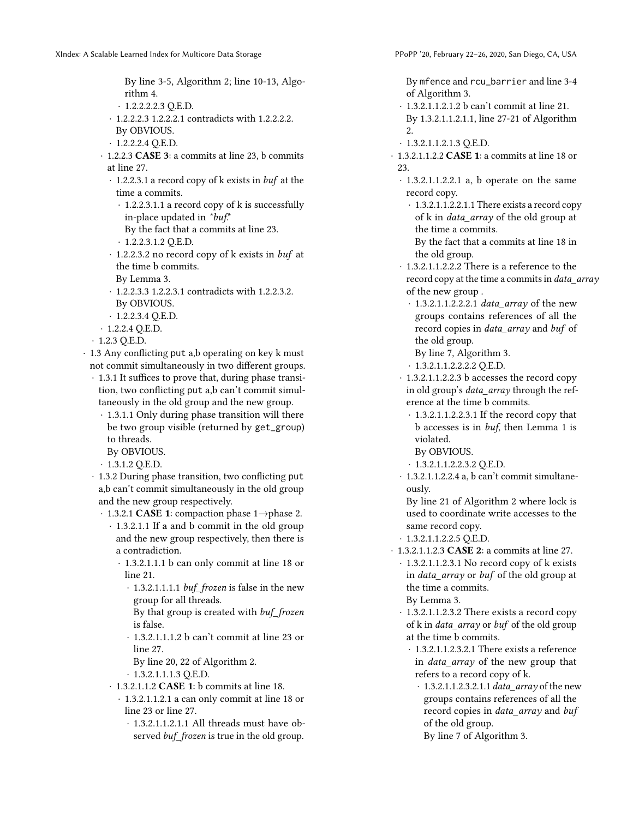By line 3-5, Algorithm 2; line 10-13, Algorithm 4.

- · 1.2.2.2.2.3 Q.E.D.
- · 1.2.2.2.3 1.2.2.2.1 contradicts with 1.2.2.2.2. By OBVIOUS.
- $\cdot$  1.2.2.2.4 Q.E.D.
- · 1.2.2.3 CASE 3: a commits at line 23, b commits at line 27.
	- · 1.2.2.3.1 a record copy of k exists in buf at the time a commits.
		- · 1.2.2.3.1.1 a record copy of k is successfully in-place updated in \*buf.\*
		- By the fact that a commits at line 23. · 1.2.2.3.1.2 Q.E.D.
	- · 1.2.2.3.2 no record copy of k exists in buf at the time b commits.
	- By Lemma 3.
	- · 1.2.2.3.3 1.2.2.3.1 contradicts with 1.2.2.3.2. By OBVIOUS.
	- $\cdot$  1.2.2.3.4 Q.E.D.
- · 1.2.2.4 Q.E.D.
- · 1.2.3 Q.E.D.
- · 1.3 Any conflicting put a,b operating on key k must not commit simultaneously in two different groups.
	- · 1.3.1 It suffices to prove that, during phase transition, two conflicting put a,b can't commit simultaneously in the old group and the new group.
		- · 1.3.1.1 Only during phase transition will there be two group visible (returned by get\_group) to threads.
			- By OBVIOUS.
		- $\cdot$  1.3.1.2 Q.E.D.
	- · 1.3.2 During phase transition, two conflicting put a,b can't commit simultaneously in the old group and the new group respectively.
		- · 1.3.2.1 CASE 1: compaction phase 1→phase 2.
			- · 1.3.2.1.1 If a and b commit in the old group and the new group respectively, then there is a contradiction.
				- · 1.3.2.1.1.1 b can only commit at line 18 or line 21.
					- · 1.3.2.1.1.1.1 buf\_frozen is false in the new group for all threads.
					- By that group is created with buf\_frozen is false.
					- · 1.3.2.1.1.1.2 b can't commit at line 23 or line 27.
					- By line 20, 22 of Algorithm 2.
					- · 1.3.2.1.1.1.3 Q.E.D.
			- · 1.3.2.1.1.2 CASE 1: b commits at line 18.
				- · 1.3.2.1.1.2.1 a can only commit at line 18 or line 23 or line 27.
					- · 1.3.2.1.1.2.1.1 All threads must have observed *buf\_frozen* is true in the old group.

By mfence and rcu\_barrier and line 3-4 of Algorithm 3.

- · 1.3.2.1.1.2.1.2 b can't commit at line 21. By 1.3.2.1.1.2.1.1, line 27-21 of Algorithm 2.
- · 1.3.2.1.1.2.1.3 Q.E.D.
- · 1.3.2.1.1.2.2 CASE 1: a commits at line 18 or 23.
	- · 1.3.2.1.1.2.2.1 a, b operate on the same record copy.
		- · 1.3.2.1.1.2.2.1.1 There exists a record copy of k in *data array* of the old group at the time a commits.

By the fact that a commits at line 18 in the old group.

- · 1.3.2.1.1.2.2.2 There is a reference to the record copy at the time a commits in data\_array of the new group .
	- · 1.3.2.1.1.2.2.2.1 data\_array of the new groups contains references of all the record copies in data\_array and buf of the old group.
		- By line 7, Algorithm 3.
	- · 1.3.2.1.1.2.2.2.2 Q.E.D.
- · 1.3.2.1.1.2.2.3 b accesses the record copy in old group's data\_array through the reference at the time b commits.
	- · 1.3.2.1.1.2.2.3.1 If the record copy that b accesses is in buf, then Lemma 1 is violated.
	- By OBVIOUS.
	- · 1.3.2.1.1.2.2.3.2 Q.E.D.
- · 1.3.2.1.1.2.2.4 a, b can't commit simultaneously.

By line 21 of Algorithm 2 where lock is used to coordinate write accesses to the same record copy.

- · 1.3.2.1.1.2.2.5 Q.E.D.
- · 1.3.2.1.1.2.3 CASE 2: a commits at line 27.
	- · 1.3.2.1.1.2.3.1 No record copy of k exists in data\_array or buf of the old group at the time a commits. By Lemma 3.
	- · 1.3.2.1.1.2.3.2 There exists a record copy of k in data\_array or buf of the old group at the time b commits.
		- · 1.3.2.1.1.2.3.2.1 There exists a reference in data\_array of the new group that refers to a record copy of k.
			- $\cdot$  1.3.2.1.1.2.3.2.1.1 data\_array of the new groups contains references of all the record copies in *data\_array* and *buf* of the old group.
				- By line 7 of Algorithm 3.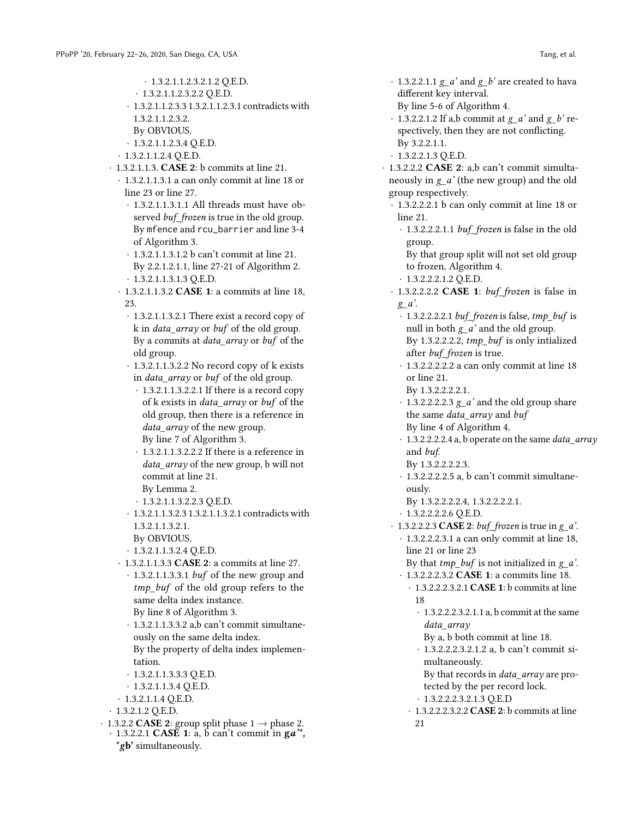· 1.3.2.1.1.2.3.2.1.2 Q.E.D.

- · 1.3.2.1.1.2.3.2.2 Q.E.D.
- · 1.3.2.1.1.2.3.3 1.3.2.1.1.2.3.1 contradicts with 1.3.2.1.1.2.3.2. By OBVIOUS.
- · 1.3.2.1.1.2.3.4 Q.E.D.
- · 1.3.2.1.1.2.4 Q.E.D.
- · 1.3.2.1.1.3. CASE 2: b commits at line 21.
	- · 1.3.2.1.1.3.1 a can only commit at line 18 or line 23 or line 27.
		- · 1.3.2.1.1.3.1.1 All threads must have observed *buf\_frozen* is true in the old group. By mfence and rcu\_barrier and line 3-4 of Algorithm 3.
		- · 1.3.2.1.1.3.1.2 b can't commit at line 21. By 2.2.1.2.1.1, line 27-21 of Algorithm 2. · 1.3.2.1.1.3.1.3 Q.E.D.
		-
	- · 1.3.2.1.1.3.2 CASE 1: a commits at line 18, 23.
		- · 1.3.2.1.1.3.2.1 There exist a record copy of k in data\_array or buf of the old group. By a commits at data\_array or buf of the old group.
		- · 1.3.2.1.1.3.2.2 No record copy of k exists in data\_array or buf of the old group.
			- · 1.3.2.1.1.3.2.2.1 If there is a record copy of k exists in data\_array or buf of the old group, then there is a reference in data array of the new group. By line 7 of Algorithm 3.
			- · 1.3.2.1.1.3.2.2.2 If there is a reference in data array of the new group, b will not commit at line 21.
			- By Lemma 2.
			- · 1.3.2.1.1.3.2.2.3 Q.E.D.
		- · 1.3.2.1.1.3.2.3 1.3.2.1.1.3.2.1 contradicts with 1.3.2.1.1.3.2.1.
			- By OBVIOUS.
		- · 1.3.2.1.1.3.2.4 Q.E.D.
	- · 1.3.2.1.1.3.3 CASE 2: a commits at line 27.
		- · 1.3.2.1.1.3.3.1 buf of the new group and tmp\_buf of the old group refers to the same delta index instance. By line 8 of Algorithm 3.
		- · 1.3.2.1.1.3.3.2 a,b can't commit simultaneously on the same delta index. By the property of delta index implementation.
		- · 1.3.2.1.1.3.3.3 Q.E.D.
		- · 1.3.2.1.1.3.4 Q.E.D.
	- · 1.3.2.1.1.4 Q.E.D.
- $\cdot$  1.3.2.1.2 Q.E.D.
- $\cdot$  1.3.2.2 **CASE 2**: group split phase 1  $\rightarrow$  phase 2.
	- $\cdot$  1.3.2.2.1 CASE 1: a, b can't commit in ga'', \*gb' simultaneously.
- $\cdot$  1.3.2.2.1.1 g a' and g b' are created to hava different key interval.
- By line 5-6 of Algorithm 4.
- $\cdot$  1.3.2.2.1.2 If a,b commit at  $g_a$ ' and  $g_b$ ' respectively, then they are not conflicting. By 3.2.2.1.1.
- · 1.3.2.2.1.3 Q.E.D.

· 1.3.2.2.2 CASE 2: a,b can't commit simultaneously in g\_a' (the new group) and the old group respectively.

- · 1.3.2.2.2.1 b can only commit at line 18 or line 21.
	- · 1.3.2.2.2.1.1 buf\_frozen is false in the old group.

By that group split will not set old group to frozen, Algorithm 4.

- · 1.3.2.2.2.1.2 Q.E.D.
- $\cdot$  1.3.2.2.2.2 CASE 1: buf frozen is false in  $g_a$ '.
- $\cdot$  1.3.2.2.2.2.1 buf frozen is false, tmp buf is null in both  $g_a'$  and the old group. By 1.3.2.2.2.2, tmp\_buf is only intialized after buf\_frozen is true.
- · 1.3.2.2.2.2.2 a can only commit at line 18 or line 21.
	- By 1.3.2.2.2.2.1.
- $\cdot$  1.3.2.2.2.2.3  $g_a$  and the old group share the same data\_array and buf By line 4 of Algorithm 4.
- · 1.3.2.2.2.2.4 a, b operate on the same data\_array and buf.
	- By 1.3.2.2.2.2.3.
- · 1.3.2.2.2.2.5 a, b can't commit simultaneously.
	- By 1.3.2.2.2.2.4, 1.3.2.2.2.2.1.
- · 1.3.2.2.2.2.6 Q.E.D.
- $\cdot$  1.3.2.2.2.3 CASE 2: buf\_frozen is true in g\_a'.
- · 1.3.2.2.2.3.1 a can only commit at line 18, line 21 or line 23
- By that  $tmp\_buf$  is not initialized in  $g_a$ .
- · 1.3.2.2.2.3.2 CASE 1: a commits line 18.
	- · 1.3.2.2.2.3.2.1 CASE 1: b commits at line 18
		- · 1.3.2.2.2.3.2.1.1 a, b commit at the same data\_array
			- By a, b both commit at line 18.
		- · 1.3.2.2.2.3.2.1.2 a, b can't commit simultaneously.
		- By that records in *data array* are protected by the per record lock. · 1.3.2.2.2.3.2.1.3 Q.E.D
	- · 1.3.2.2.2.3.2.2 CASE 2: b commits at line 21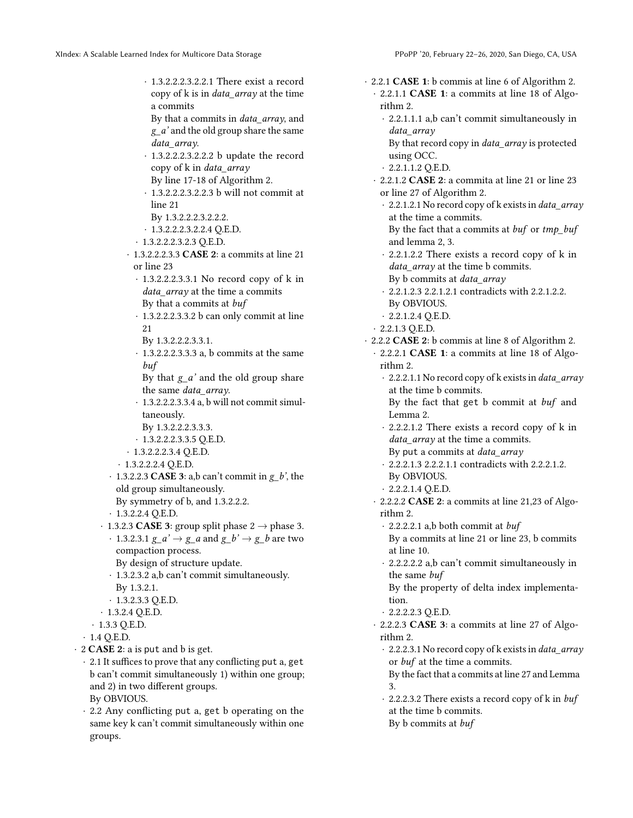· 1.3.2.2.2.3.2.2.1 There exist a record copy of k is in data\_array at the time a commits

By that a commits in data\_array, and g\_a' and the old group share the same data\_array.

- · 1.3.2.2.2.3.2.2.2 b update the record copy of k in data\_array
- By line 17-18 of Algorithm 2.
- · 1.3.2.2.2.3.2.2.3 b will not commit at line 21
- By 1.3.2.2.2.3.2.2.2.
- · 1.3.2.2.2.3.2.2.4 Q.E.D.
- · 1.3.2.2.2.3.2.3 Q.E.D.
- · 1.3.2.2.2.3.3 CASE 2: a commits at line 21 or line 23
	- · 1.3.2.2.2.3.3.1 No record copy of k in data array at the time a commits By that a commits at buf
	- · 1.3.2.2.2.3.3.2 b can only commit at line 21
	- By 1.3.2.2.2.3.3.1.
	- · 1.3.2.2.2.3.3.3 a, b commits at the same buf
	- By that  $g_a'$  and the old group share the same data\_array.
	- · 1.3.2.2.2.3.3.4 a, b will not commit simultaneously.
	- By 1.3.2.2.2.3.3.3.
	- · 1.3.2.2.2.3.3.5 Q.E.D.
- · 1.3.2.2.2.3.4 Q.E.D.
- · 1.3.2.2.2.4 Q.E.D.
- $\cdot$  1.3.2.2.3 CASE 3: a,b can't commit in g b', the old group simultaneously.
- By symmetry of b, and 1.3.2.2.2.
- $\cdot$  1.3.2.2.4 Q.E.D.
- · 1.3.2.3 **CASE 3**: group split phase  $2 \rightarrow$  phase 3. · 1.3.2.3.1  $g_a' \rightarrow g_a$  and  $g_b' \rightarrow g_b$  are two
- compaction process. By design of structure update.
- · 1.3.2.3.2 a,b can't commit simultaneously.
- By 1.3.2.1.
- · 1.3.2.3.3 Q.E.D.
- · 1.3.2.4 Q.E.D.
- · 1.3.3 Q.E.D.
- $\cdot$  1.4 Q.E.D.
- $\cdot$  2 **CASE 2**: a is put and b is get.
	- · 2.1 It suffices to prove that any conflicting put a, get b can't commit simultaneously 1) within one group; and 2) in two different groups. By OBVIOUS.
	- · 2.2 Any conflicting put a, get b operating on the same key k can't commit simultaneously within one groups.

· 2.2.1 CASE 1: b commis at line 6 of Algorithm 2. · 2.2.1.1 CASE 1: a commits at line 18 of Algorithm 2. · 2.2.1.1.1 a,b can't commit simultaneously in data\_array By that record copy in *data array* is protected using OCC. · 2.2.1.1.2 Q.E.D. · 2.2.1.2 CASE 2: a commita at line 21 or line 23 or line 27 of Algorithm 2. · 2.2.1.2.1 No record copy of k exists in data\_array at the time a commits. By the fact that a commits at  $buf$  or tmp\_buf and lemma 2, 3. · 2.2.1.2.2 There exists a record copy of k in data array at the time b commits. By b commits at *data array* · 2.2.1.2.3 2.2.1.2.1 contradicts with 2.2.1.2.2. By OBVIOUS.  $\cdot$  2.2.1.2.4 Q.E.D. · 2.2.1.3 Q.E.D. · 2.2.2 CASE 2: b commis at line 8 of Algorithm 2. · 2.2.2.1 CASE 1: a commits at line 18 of Algorithm 2. · 2.2.2.1.1 No record copy of k exists in data\_array at the time b commits. By the fact that get b commit at buf and Lemma 2. · 2.2.2.1.2 There exists a record copy of k in data array at the time a commits. By put a commits at *data array* · 2.2.2.1.3 2.2.2.1.1 contradicts with 2.2.2.1.2. By OBVIOUS. · 2.2.2.1.4 Q.E.D. · 2.2.2.2 CASE 2: a commits at line 21,23 of Algorithm 2.  $\cdot$  2.2.2.2.1 a,b both commit at *buf* By a commits at line 21 or line 23, b commits at line 10. · 2.2.2.2.2 a,b can't commit simultaneously in the same buf By the property of delta index implementation. · 2.2.2.2.3 Q.E.D. · 2.2.2.3 CASE 3: a commits at line 27 of Algorithm 2. · 2.2.2.3.1 No record copy of k exists in data\_array or buf at the time a commits. By the fact that a commits at line 27 and Lemma 3. · 2.2.2.3.2 There exists a record copy of k in buf at the time b commits.

By b commits at buf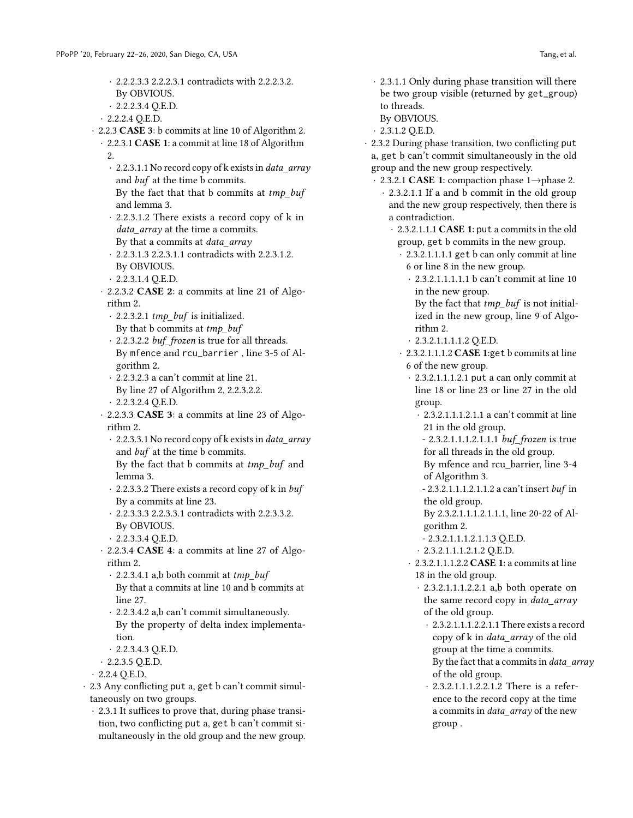- · 2.2.2.3.3 2.2.2.3.1 contradicts with 2.2.2.3.2. By OBVIOUS.
- · 2.2.2.3.4 Q.E.D.
- $\cdot$  2.2.2.4 Q.E.D.
- · 2.2.3 CASE 3: b commits at line 10 of Algorithm 2.
	- · 2.2.3.1 CASE 1: a commit at line 18 of Algorithm 2.
		- · 2.2.3.1.1 No record copy of k exists in data\_array and buf at the time b commits. By the fact that that b commits at  $tmp\_buf$
		- and lemma 3.
		- · 2.2.3.1.2 There exists a record copy of k in data\_array at the time a commits. By that a commits at *data array*
		- · 2.2.3.1.3 2.2.3.1.1 contradicts with 2.2.3.1.2. By OBVIOUS.
		- · 2.2.3.1.4 Q.E.D.
	- · 2.2.3.2 CASE 2: a commits at line 21 of Algorithm 2.
		- $\cdot$  2.2.3.2.1 tmp buf is initialized. By that  $b$  commits at  $tmp_buf$
		- · 2.2.3.2.2 buf\_frozen is true for all threads. By mfence and rcu\_barrier , line 3-5 of Algorithm 2.
		- · 2.2.3.2.3 a can't commit at line 21. By line 27 of Algorithm 2, 2.2.3.2.2.
		- · 2.2.3.2.4 Q.E.D.
	- · 2.2.3.3 CASE 3: a commits at line 23 of Algorithm 2.
		- · 2.2.3.3.1 No record copy of k exists in data\_array and buf at the time b commits. By the fact that b commits at tmp\_buf and
		- lemma 3. · 2.2.3.3.2 There exists a record copy of k in buf By a commits at line 23.
		- · 2.2.3.3.3 2.2.3.3.1 contradicts with 2.2.3.3.2. By OBVIOUS.
		- · 2.2.3.3.4 Q.E.D.
	- · 2.2.3.4 CASE 4: a commits at line 27 of Algorithm 2.
		- $\cdot$  2.2.3.4.1 a,b both commit at tmp\_buf By that a commits at line 10 and b commits at line 27.
		- · 2.2.3.4.2 a,b can't commit simultaneously. By the property of delta index implementation.
		- · 2.2.3.4.3 Q.E.D.
	- · 2.2.3.5 Q.E.D.
- · 2.2.4 Q.E.D.
- · 2.3 Any conflicting put a, get b can't commit simultaneously on two groups.
	- · 2.3.1 It suffices to prove that, during phase transition, two conflicting put a, get b can't commit simultaneously in the old group and the new group.
- · 2.3.1.1 Only during phase transition will there be two group visible (returned by get\_group) to threads.
- By OBVIOUS.
- · 2.3.1.2 Q.E.D.
- · 2.3.2 During phase transition, two conflicting put a, get b can't commit simultaneously in the old group and the new group respectively.
	- · 2.3.2.1 CASE 1: compaction phase 1→phase 2.
		- · 2.3.2.1.1 If a and b commit in the old group and the new group respectively, then there is a contradiction.
			- · 2.3.2.1.1.1 CASE 1: put a commits in the old group, get b commits in the new group.
				- · 2.3.2.1.1.1.1 get b can only commit at line 6 or line 8 in the new group.
					- · 2.3.2.1.1.1.1.1 b can't commit at line 10 in the new group.
					- By the fact that  $tmp_buf$  is not initialized in the new group, line 9 of Algorithm 2.
					- · 2.3.2.1.1.1.1.2 Q.E.D.
				- · 2.3.2.1.1.1.2 CASE 1:get b commits at line 6 of the new group.
					- · 2.3.2.1.1.1.2.1 put a can only commit at line 18 or line 23 or line 27 in the old group.
						- · 2.3.2.1.1.1.2.1.1 a can't commit at line 21 in the old group.
						- 2.3.2.1.1.1.2.1.1.1 buf\_frozen is true for all threads in the old group.
						- By mfence and rcu\_barrier, line 3-4 of Algorithm 3.
						- 2.3.2.1.1.1.2.1.1.2 a can't insert buf in the old group.
						- By 2.3.2.1.1.1.2.1.1.1, line 20-22 of Algorithm 2.
						- 2.3.2.1.1.1.2.1.1.3 Q.E.D.
						- · 2.3.2.1.1.1.2.1.2 Q.E.D.
					- · 2.3.2.1.1.1.2.2 CASE 1: a commits at line 18 in the old group.
						- · 2.3.2.1.1.1.2.2.1 a,b both operate on the same record copy in data\_array of the old group.
							- · 2.3.2.1.1.1.2.2.1.1 There exists a record copy of k in data\_array of the old group at the time a commits. By the fact that a commits in *data\_array* of the old group.
							- · 2.3.2.1.1.1.2.2.1.2 There is a reference to the record copy at the time a commits in data\_array of the new group .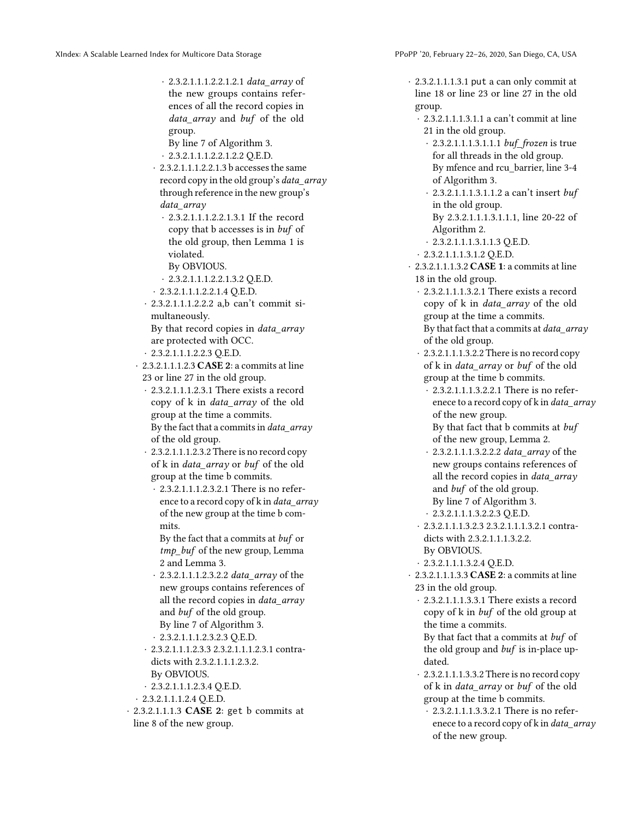- · 2.3.2.1.1.1.2.2.1.2.1 data\_array of the new groups contains references of all the record copies in data\_array and buf of the old group.
- By line 7 of Algorithm 3. · 2.3.2.1.1.1.2.2.1.2.2 Q.E.D.
- · 2.3.2.1.1.1.2.2.1.3 b accesses the same record copy in the old group's *data array* through reference in the new group's data\_array
	- · 2.3.2.1.1.1.2.2.1.3.1 If the record copy that b accesses is in buf of the old group, then Lemma 1 is violated.
	- By OBVIOUS.
	- · 2.3.2.1.1.1.2.2.1.3.2 Q.E.D.
- · 2.3.2.1.1.1.2.2.1.4 Q.E.D.
- · 2.3.2.1.1.1.2.2.2 a,b can't commit simultaneously.

By that record copies in data\_array are protected with OCC.

· 2.3.2.1.1.1.2.2.3 Q.E.D.

 $\cdot$  2.3.2.1.1.1.2.3 CASE 2: a commits at line 23 or line 27 in the old group.

- · 2.3.2.1.1.1.2.3.1 There exists a record copy of k in data\_array of the old group at the time a commits. By the fact that a commits in data  $arrayy$ of the old group.
- · 2.3.2.1.1.1.2.3.2 There is no record copy of k in *data\_array* or *buf* of the old group at the time b commits.
	- · 2.3.2.1.1.1.2.3.2.1 There is no reference to a record copy of  $k$  in *data array* of the new group at the time b commits.

By the fact that a commits at buf or tmp\_buf of the new group, Lemma 2 and Lemma 3.

2.3.2.1.1.1.2.3.2.2 *data\_array* of the new groups contains references of all the record copies in *data array* and buf of the old group. By line 7 of Algorithm 3.

· 2.3.2.1.1.1.2.3.2.3 Q.E.D.

- · 2.3.2.1.1.1.2.3.3 2.3.2.1.1.1.2.3.1 contradicts with 2.3.2.1.1.1.2.3.2. By OBVIOUS.
- · 2.3.2.1.1.1.2.3.4 Q.E.D.
- · 2.3.2.1.1.1.2.4 Q.E.D.
- · 2.3.2.1.1.1.3 CASE 2: get b commits at line 8 of the new group.

· 2.3.2.1.1.1.3.1 put a can only commit at line 18 or line 23 or line 27 in the old group.

- · 2.3.2.1.1.1.3.1.1 a can't commit at line 21 in the old group.
	- · 2.3.2.1.1.1.3.1.1.1 buf\_frozen is true for all threads in the old group. By mfence and rcu\_barrier, line 3-4 of Algorithm 3.
	- · 2.3.2.1.1.1.3.1.1.2 a can't insert buf in the old group. By 2.3.2.1.1.1.3.1.1.1, line 20-22 of
	- Algorithm 2.
	- · 2.3.2.1.1.1.3.1.1.3 Q.E.D.
- · 2.3.2.1.1.1.3.1.2 Q.E.D.
- · 2.3.2.1.1.1.3.2 CASE 1: a commits at line 18 in the old group.
	- · 2.3.2.1.1.1.3.2.1 There exists a record copy of k in data\_array of the old group at the time a commits. By that fact that a commits at *data\_array* of the old group.
	- · 2.3.2.1.1.1.3.2.2 There is no record copy of k in *data array* or *buf* of the old group at the time b commits.
		- · 2.3.2.1.1.1.3.2.2.1 There is no referenece to a record copy of k in data\_array of the new group. By that fact that b commits at buf

of the new group, Lemma 2.

- · 2.3.2.1.1.1.3.2.2.2 data\_array of the new groups contains references of all the record copies in *data\_array* and buf of the old group. By line 7 of Algorithm 3. · 2.3.2.1.1.1.3.2.2.3 Q.E.D.
- · 2.3.2.1.1.1.3.2.3 2.3.2.1.1.1.3.2.1 contradicts with 2.3.2.1.1.1.3.2.2. By OBVIOUS.
- · 2.3.2.1.1.1.3.2.4 Q.E.D.
- · 2.3.2.1.1.1.3.3 CASE 2: a commits at line 23 in the old group.
	- · 2.3.2.1.1.1.3.3.1 There exists a record copy of k in buf of the old group at the time a commits.

By that fact that a commits at buf of the old group and buf is in-place updated.

- · 2.3.2.1.1.1.3.3.2 There is no record copy of k in data\_array or buf of the old group at the time b commits.
	- · 2.3.2.1.1.1.3.3.2.1 There is no referenece to a record copy of k in data\_array of the new group.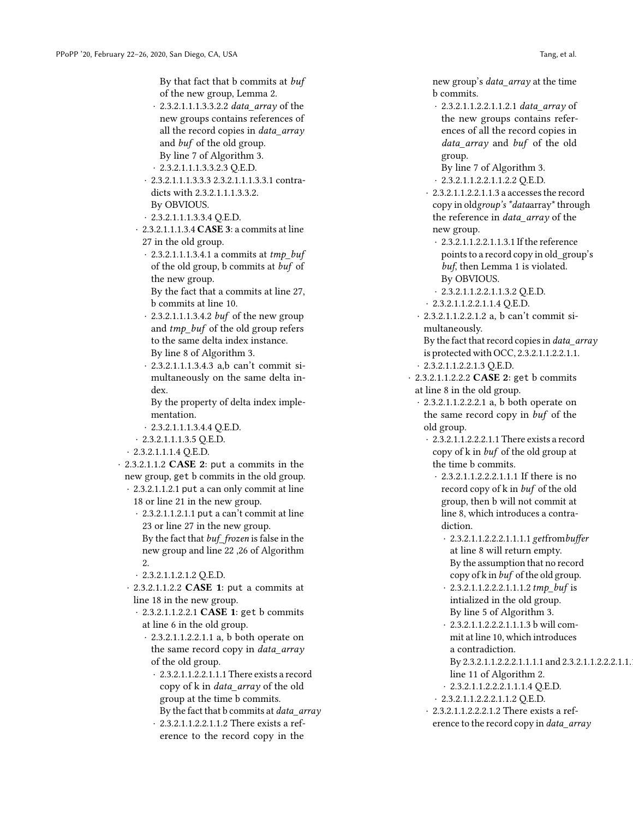By that fact that b commits at buf of the new group, Lemma 2.

- 2.3.2.1.1.1.3.3.2.2 *data\_array* of the new groups contains references of all the record copies in data\_array and buf of the old group. By line 7 of Algorithm 3.
- · 2.3.2.1.1.1.3.3.2.3 Q.E.D.
- · 2.3.2.1.1.1.3.3.3 2.3.2.1.1.1.3.3.1 contradicts with 2.3.2.1.1.1.3.3.2. By OBVIOUS.
- · 2.3.2.1.1.1.3.3.4 Q.E.D.
- · 2.3.2.1.1.1.3.4 CASE 3: a commits at line 27 in the old group.
	- $\cdot$  2.3.2.1.1.1.3.4.1 a commits at tmp\_buf of the old group, b commits at buf of the new group.
	- By the fact that a commits at line 27, b commits at line 10.
	- 2.3.2.1.1.1.3.4.2  $buf$  of the new group and tmp\_buf of the old group refers to the same delta index instance. By line 8 of Algorithm 3.
	- · 2.3.2.1.1.1.3.4.3 a,b can't commit simultaneously on the same delta index.

By the property of delta index implementation.

- · 2.3.2.1.1.1.3.4.4 Q.E.D.
- · 2.3.2.1.1.1.3.5 Q.E.D.
- · 2.3.2.1.1.1.4 Q.E.D.
- · 2.3.2.1.1.2 CASE 2: put a commits in the new group, get b commits in the old group.
	- · 2.3.2.1.1.2.1 put a can only commit at line 18 or line 21 in the new group.
		- · 2.3.2.1.1.2.1.1 put a can't commit at line 23 or line 27 in the new group. By the fact that buf\_frozen is false in the
		- new group and line 22 ,26 of Algorithm 2.
		- · 2.3.2.1.1.2.1.2 Q.E.D.
	- · 2.3.2.1.1.2.2 CASE 1: put a commits at line 18 in the new group.
		- · 2.3.2.1.1.2.2.1 CASE 1: get b commits at line 6 in the old group.
			- · 2.3.2.1.1.2.2.1.1 a, b both operate on the same record copy in data\_array of the old group.
				- · 2.3.2.1.1.2.2.1.1.1 There exists a record copy of k in data\_array of the old group at the time b commits. By the fact that b commits at *data\_array*
				- · 2.3.2.1.1.2.2.1.1.2 There exists a reference to the record copy in the

new group's data\_array at the time b commits.

- · 2.3.2.1.1.2.2.1.1.2.1 data\_array of the new groups contains references of all the record copies in data array and buf of the old group.
- By line 7 of Algorithm 3.
- · 2.3.2.1.1.2.2.1.1.2.2 Q.E.D.
- · 2.3.2.1.1.2.2.1.1.3 a accesses the record copy in oldgroup's \*dataarray\* through the reference in *data\_array* of the new group.
	- · 2.3.2.1.1.2.2.1.1.3.1 If the reference points to a record copy in old\_group's buf, then Lemma 1 is violated. By OBVIOUS.
- · 2.3.2.1.1.2.2.1.1.3.2 Q.E.D.
- · 2.3.2.1.1.2.2.1.1.4 Q.E.D.
- · 2.3.2.1.1.2.2.1.2 a, b can't commit simultaneously.
- By the fact that record copies in *data\_array* is protected with OCC, 2.3.2.1.1.2.2.1.1.
- · 2.3.2.1.1.2.2.1.3 Q.E.D.
- · 2.3.2.1.1.2.2.2 CASE 2: get b commits at line 8 in the old group.
	- · 2.3.2.1.1.2.2.2.1 a, b both operate on the same record copy in buf of the old group.
		- · 2.3.2.1.1.2.2.2.1.1 There exists a record copy of k in buf of the old group at the time b commits.
			- · 2.3.2.1.1.2.2.2.1.1.1 If there is no record copy of k in buf of the old group, then b will not commit at line 8, which introduces a contradiction.
				- · 2.3.2.1.1.2.2.2.1.1.1.1 getfrombuffer at line 8 will return empty. By the assumption that no record copy of k in buf of the old group.
				- · 2.3.2.1.1.2.2.2.1.1.1.2 tmp\_buf is intialized in the old group. By line 5 of Algorithm 3.
				- · 2.3.2.1.1.2.2.2.1.1.1.3 b will commit at line 10, which introduces a contradiction.
				- By 2.3.2.1.1.2.2.2.1.1.1.1 and 2.3.2.1.1.2.2.2.1.1.
				- line 11 of Algorithm 2.
				- · 2.3.2.1.1.2.2.2.1.1.1.4 Q.E.D.
			- · 2.3.2.1.1.2.2.2.1.1.2 Q.E.D.
		- · 2.3.2.1.1.2.2.2.1.2 There exists a reference to the record copy in data\_array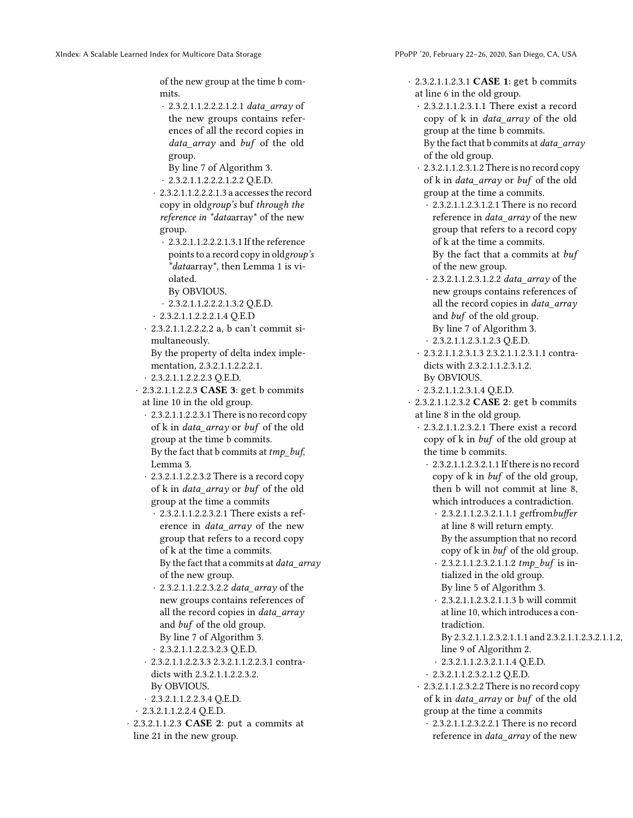of the new group at the time b commits.

- · 2.3.2.1.1.2.2.2.1.2.1 data\_array of the new groups contains references of all the record copies in data array and buf of the old group.
- By line 7 of Algorithm 3.
- · 2.3.2.1.1.2.2.2.1.2.2 Q.E.D.
- · 2.3.2.1.1.2.2.2.1.3 a accesses the record copy in oldgroup's buf through the reference in \*dataarray\* of the new group.
	- · 2.3.2.1.1.2.2.2.1.3.1 If the reference points to a record copy in oldgroup's \*dataarray\*, then Lemma 1 is violated.
	- By OBVIOUS.
	- · 2.3.2.1.1.2.2.2.1.3.2 Q.E.D.
- · 2.3.2.1.1.2.2.2.1.4 Q.E.D
- · 2.3.2.1.1.2.2.2.2 a, b can't commit simultaneously.

By the property of delta index implementation, 2.3.2.1.1.2.2.2.1.

- · 2.3.2.1.1.2.2.2.3 Q.E.D.
- · 2.3.2.1.1.2.2.3 CASE 3: get b commits at line 10 in the old group.
- · 2.3.2.1.1.2.2.3.1 There is no record copy of k in *data array* or *buf* of the old group at the time b commits. By the fact that b commits at  $tmp$  buf, Lemma 3.
- · 2.3.2.1.1.2.2.3.2 There is a record copy of k in *data* array or buf of the old group at the time a commits
	- · 2.3.2.1.1.2.2.3.2.1 There exists a reference in *data array* of the new group that refers to a record copy of k at the time a commits. By the fact that a commits at data\_array of the new group.
	- · 2.3.2.1.1.2.2.3.2.2 data\_array of the new groups contains references of all the record copies in data\_array and buf of the old group. By line 7 of Algorithm 3. · 2.3.2.1.1.2.2.3.2.3 Q.E.D.
- · 2.3.2.1.1.2.2.3.3 2.3.2.1.1.2.2.3.1 contradicts with 2.3.2.1.1.2.2.3.2. By OBVIOUS.
- · 2.3.2.1.1.2.2.3.4 Q.E.D.
- · 2.3.2.1.1.2.2.4 Q.E.D.
- · 2.3.2.1.1.2.3 CASE 2: put a commits at line 21 in the new group.

· 2.3.2.1.1.2.3.1 CASE 1: get b commits at line 6 in the old group.

- · 2.3.2.1.1.2.3.1.1 There exist a record copy of k in data\_array of the old group at the time b commits. By the fact that  $b$  commits at *data array* of the old group.
- · 2.3.2.1.1.2.3.1.2 There is no record copy of k in data\_array or buf of the old group at the time a commits.
- · 2.3.2.1.1.2.3.1.2.1 There is no record reference in data\_array of the new group that refers to a record copy of k at the time a commits. By the fact that a commits at buf of the new group.
- · 2.3.2.1.1.2.3.1.2.2 data\_array of the new groups contains references of all the record copies in *data array* and buf of the old group. By line 7 of Algorithm 3. · 2.3.2.1.1.2.3.1.2.3 Q.E.D.
- · 2.3.2.1.1.2.3.1.3 2.3.2.1.1.2.3.1.1 contradicts with 2.3.2.1.1.2.3.1.2. By OBVIOUS.
- · 2.3.2.1.1.2.3.1.4 Q.E.D.
- · 2.3.2.1.1.2.3.2 CASE 2: get b commits at line 8 in the old group.
	- · 2.3.2.1.1.2.3.2.1 There exist a record copy of k in buf of the old group at the time b commits.
		- · 2.3.2.1.1.2.3.2.1.1 If there is no record copy of k in buf of the old group, then b will not commit at line 8, which introduces a contradiction.
			- · 2.3.2.1.1.2.3.2.1.1.1 getfrombuffer at line 8 will return empty. By the assumption that no record copy of k in buf of the old group.
			- · 2.3.2.1.1.2.3.2.1.1.2 tmp\_buf is intialized in the old group. By line 5 of Algorithm 3.
			- · 2.3.2.1.1.2.3.2.1.1.3 b will commit at line 10, which introduces a contradiction.
			- By 2.3.2.1.1.2.3.2.1.1.1 and 2.3.2.1.1.2.3.2.1.1.2,
			- line 9 of Algorithm 2.
			- · 2.3.2.1.1.2.3.2.1.1.4 Q.E.D.
		- · 2.3.2.1.1.2.3.2.1.2 Q.E.D.
	- · 2.3.2.1.1.2.3.2.2 There is no record copy of k in *data array* or *buf* of the old group at the time a commits
		- · 2.3.2.1.1.2.3.2.2.1 There is no record reference in *data* array of the new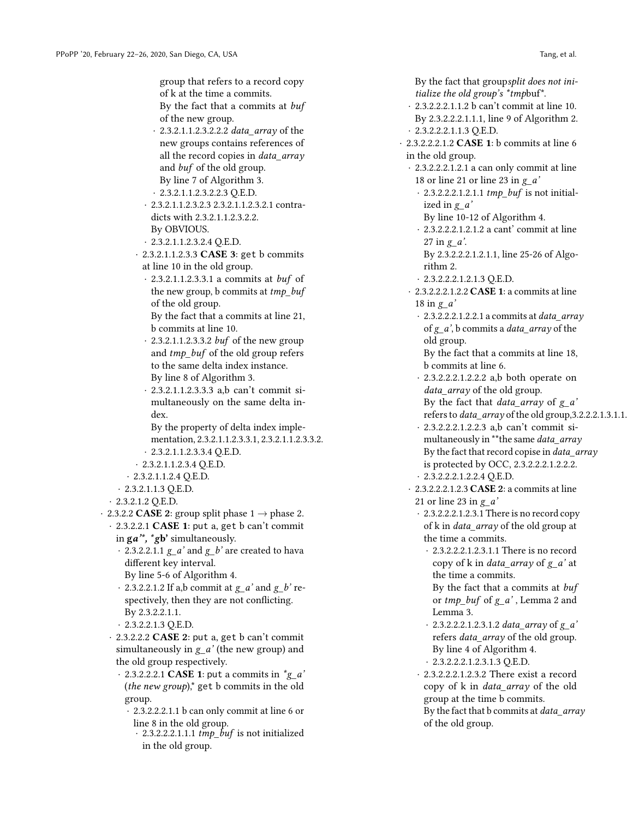group that refers to a record copy of k at the time a commits. By the fact that a commits at buf

of the new group.

- · 2.3.2.1.1.2.3.2.2.2 data\_array of the new groups contains references of all the record copies in *data array* and buf of the old group. By line 7 of Algorithm 3.
- · 2.3.2.1.1.2.3.2.2.3 Q.E.D.
- · 2.3.2.1.1.2.3.2.3 2.3.2.1.1.2.3.2.1 contradicts with 2.3.2.1.1.2.3.2.2. By OBVIOUS.
- $\cdot$  2.3.2.1.1.2.3.2.4 Q.E.D.
- · 2.3.2.1.1.2.3.3 CASE 3: get b commits at line 10 in the old group.
	- · 2.3.2.1.1.2.3.3.1 a commits at buf of the new group, b commits at  $tmp\_buf$ of the old group.
	- By the fact that a commits at line 21, b commits at line 10.
	- · 2.3.2.1.1.2.3.3.2 buf of the new group and tmp\_buf of the old group refers to the same delta index instance. By line 8 of Algorithm 3.

· 2.3.2.1.1.2.3.3.3 a,b can't commit simultaneously on the same delta index.

By the property of delta index implementation, 2.3.2.1.1.2.3.3.1, 2.3.2.1.1.2.3.3.2. · 2.3.2.1.1.2.3.3.4 Q.E.D.

- · 2.3.2.1.1.2.3.4 Q.E.D.
- · 2.3.2.1.1.2.4 Q.E.D.
- · 2.3.2.1.1.3 Q.E.D.
- · 2.3.2.1.2 Q.E.D.

· 2.3.2.2 **CASE 2**: group split phase  $1 \rightarrow$  phase 2.

· 2.3.2.2.1 CASE 1: put a, get b can't commit in  $\mathbf{g}a^{\prime\prime}, \mathbf{f}b^{\prime}$  simultaneously.

- $\cdot$  2.3.2.2.1.1  $g_a'$  and  $g_b'$  are created to hava different key interval.
- By line 5-6 of Algorithm 4.
- $\cdot$  2.3.2.2.1.2 If a,b commit at  $g_a$  and  $g_b$  respectively, then they are not conflicting. By 2.3.2.2.1.1.
- · 2.3.2.2.1.3 Q.E.D.
- $\cdot$  2.3.2.2.2 CASE 2: put a, get b can't commit simultaneously in  $g_a'$  (the new group) and the old group respectively.
	- $\cdot$  2.3.2.2.2.1 CASE 1: put a commits in  $\text{*g}_a$ ' (*the new group*), $*$  get b commits in the old group.
		- · 2.3.2.2.2.1.1 b can only commit at line 6 or line 8 in the old group.
			- $\cdot$  2.3.2.2.2.1.1.1 tmp\_buf is not initialized in the old group.

By the fact that groupsplit does not initialize the old group's \*tmpbuf\*.

- · 2.3.2.2.2.1.1.2 b can't commit at line 10. By 2.3.2.2.2.1.1.1, line 9 of Algorithm 2. · 2.3.2.2.2.1.1.3 Q.E.D.
- · 2.3.2.2.2.1.2 CASE 1: b commits at line 6 in the old group.
	- · 2.3.2.2.2.1.2.1 a can only commit at line 18 or line 21 or line 23 in  $g_a'$ 
		- $\cdot$  2.3.2.2.2.1.2.1.1 tmp\_buf is not initialized in  $g_a'$ 
			- By line 10-12 of Algorithm 4.
		- · 2.3.2.2.2.1.2.1.2 a cant' commit at line 27 in  $g_a$ .
		- By 2.3.2.2.2.1.2.1.1, line 25-26 of Algorithm 2.
		- · 2.3.2.2.2.1.2.1.3 Q.E.D.
	- · 2.3.2.2.2.1.2.2 CASE 1: a commits at line 18 in  $g_a'$ 
		- $\cdot$  2.3.2.2.2.1.2.2.1 a commits at data\_array
		- of  $g_a$ ', b commits a *data\_array* of the old group.
		- By the fact that a commits at line 18, b commits at line 6.
		- · 2.3.2.2.2.1.2.2.2 a,b both operate on data\_array of the old group.

By the fact that *data\_array* of  $g_a'$ refers to *data\_array* of the old group, 3.2.2.2.1.3.1.1.

- · 2.3.2.2.2.1.2.2.3 a,b can't commit simultaneously in \*\*the same data\_array By the fact that record copise in *data\_array* is protected by OCC, 2.3.2.2.2.1.2.2.2.
- · 2.3.2.2.2.1.2.2.4 Q.E.D.
- · 2.3.2.2.2.1.2.3 CASE 2: a commits at line 21 or line 23 in  $g/a'$ 
	- · 2.3.2.2.2.1.2.3.1 There is no record copy of k in *data\_array* of the old group at the time a commits.
		- · 2.3.2.2.2.1.2.3.1.1 There is no record copy of k in *data\_array* of  $g_a'$  at the time a commits. By the fact that a commits at buf

or  $tmp_buf$  of  $g_a'$ , Lemma 2 and Lemma 3.

- · 2.3.2.2.2.1.2.3.1.2 data\_array of g\_a' refers *data\_array* of the old group. By line 4 of Algorithm 4. · 2.3.2.2.2.1.2.3.1.3 Q.E.D.
- · 2.3.2.2.2.1.2.3.2 There exist a record copy of k in data\_array of the old group at the time b commits. By the fact that  $b$  commits at *data array* of the old group.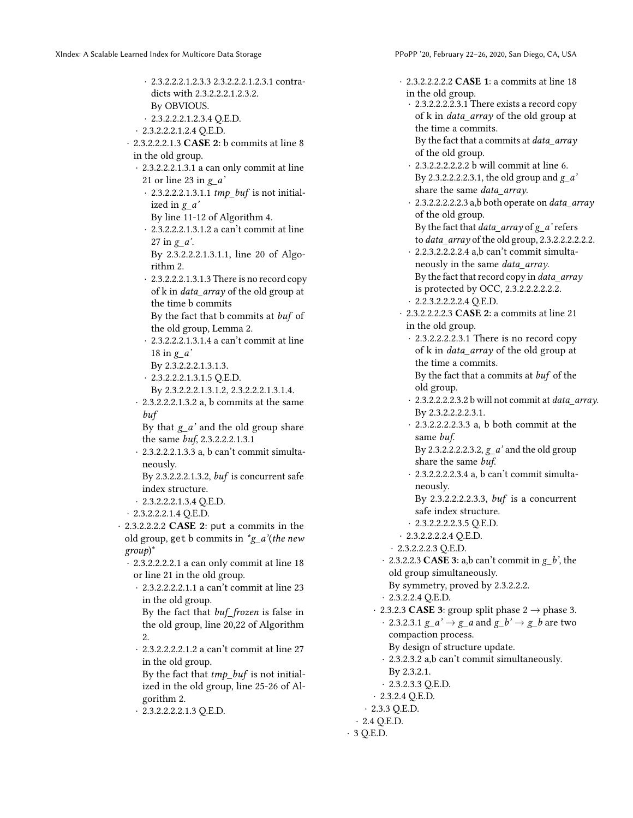rithm 2.

18 in  $g_a'$ 

buf

neously.

group)\*

2.

gorithm 2.

· 2.3.2.2.2.1.2.3.3 2.3.2.2.2.1.2.3.1 contradicts with 2.3.2.2.2.1.2.3.2. By OBVIOUS. · 2.3.2.2.2.1.2.3.4 Q.E.D. · 2.3.2.2.2.1.2.4 Q.E.D. · 2.3.2.2.2.1.3 CASE 2: b commits at line 8 in the old group. · 2.3.2.2.2.1.3.1 a can only commit at line 21 or line 23 in  $g_a'$  $\cdot$  2.3.2.2.2.1.3.1.1 tmp\_buf is not initialized in  $g_a'$ By line 11-12 of Algorithm 4. · 2.3.2.2.2.1.3.1.2 a can't commit at line 27 in  $g_a$ . By 2.3.2.2.2.1.3.1.1, line 20 of Algo-· 2.3.2.2.2.1.3.1.3 There is no record copy of k in *data array* of the old group at the time b commits By the fact that b commits at buf of the old group, Lemma 2. · 2.3.2.2.2.1.3.1.4 a can't commit at line By 2.3.2.2.2.1.3.1.3. · 2.3.2.2.2.1.3.1.5 Q.E.D. By 2.3.2.2.2.1.3.1.2, 2.3.2.2.2.1.3.1.4. · 2.3.2.2.2.1.3.2 a, b commits at the same By that  $g_a'$  and the old group share the same buf, 2.3.2.2.2.1.3.1 · 2.3.2.2.2.1.3.3 a, b can't commit simulta-By 2.3.2.2.2.1.3.2, buf is concurrent safe index structure. · 2.3.2.2.2.1.3.4 Q.E.D. · 2.3.2.2.2.1.4 Q.E.D. · 2.3.2.2.2.2 CASE 2: put a commits in the old group, get b commits in  $\check{g}_a$ '(the new · 2.3.2.2.2.2.1 a can only commit at line 18 or line 21 in the old group. · 2.3.2.2.2.2.1.1 a can't commit at line 23 in the old group. By the fact that buf\_frozen is false in the old group, line 20,22 of Algorithm · 2.3.2.2.2.2.1.2 a can't commit at line 27 in the old group. By the fact that  $tmp$  buf is not initialized in the old group, line 25-26 of Al-· 2.3.2.2.2.2.1.3 Q.E.D. · 2.3.2.2.2.2.2 CASE 1: a commits at line 18 in the old group. · 2.3.2.2.2.2.3.1 There exists a record copy of k in data\_array of the old group at the time a commits. By the fact that a commits at data\_array of the old group. · 2.3.2.2.2.2.2.2 b will commit at line 6. By 2.3.2.2.2.2.3.1, the old group and  $g_a'$ share the same *data array*. · 2.3.2.2.2.2.2.3 a,b both operate on data\_array of the old group. By the fact that  $data\_array$  of  $g_a$ ' refers to *data\_array* of the old group, 2.3.2.2.2.2.2.2. · 2.2.3.2.2.2.2.4 a,b can't commit simultaneously in the same data\_array. By the fact that record copy in data\_array is protected by OCC, 2.3.2.2.2.2.2.2. · 2.2.3.2.2.2.2.4 Q.E.D. · 2.3.2.2.2.2.3 CASE 2: a commits at line 21 in the old group. · 2.3.2.2.2.2.3.1 There is no record copy of k in data\_array of the old group at the time a commits. By the fact that a commits at buf of the old group. · 2.3.2.2.2.2.3.2 b will not commit at data\_array. By 2.3.2.2.2.2.3.1. · 2.3.2.2.2.2.3.3 a, b both commit at the same buf. By 2.3.2.2.2.2.3.2,  $g_a'$  and the old group share the same buf. · 2.3.2.2.2.2.3.4 a, b can't commit simultaneously. By 2.3.2.2.2.2.3.3, buf is a concurrent safe index structure. · 2.3.2.2.2.2.3.5 Q.E.D. · 2.3.2.2.2.2.4 Q.E.D. · 2.3.2.2.2.3 Q.E.D.  $\cdot$  2.3.2.2.3 **CASE 3**: a,b can't commit in  $g_b$ , the old group simultaneously. By symmetry, proved by 2.3.2.2.2. · 2.3.2.2.4 Q.E.D. · 2.3.2.3 **CASE 3**: group split phase 2  $\rightarrow$  phase 3. · 2.3.2.3.1  $g_a \rightarrow g_a$  and  $g_b' \rightarrow g_b$  are two compaction process. By design of structure update. · 2.3.2.3.2 a,b can't commit simultaneously. By 2.3.2.1. · 2.3.2.3.3 Q.E.D. · 2.3.2.4 Q.E.D. · 2.3.3 Q.E.D. · 2.4 Q.E.D. · 3 Q.E.D.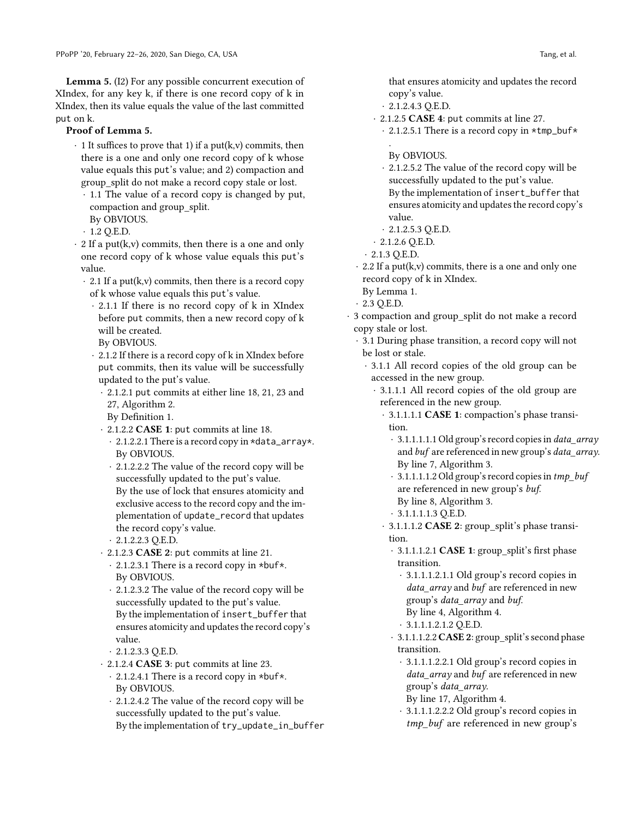Lemma 5. (I2) For any possible concurrent execution of XIndex, for any key k, if there is one record copy of k in XIndex, then its value equals the value of the last committed put on k.

## Proof of Lemma 5.

- $\cdot$  1 It suffices to prove that 1) if a put(k,v) commits, then there is a one and only one record copy of k whose value equals this put's value; and 2) compaction and group\_split do not make a record copy stale or lost.
	- · 1.1 The value of a record copy is changed by put, compaction and group\_split.
	- By OBVIOUS.  $\cdot$  1.2 O.E.D.
- $\cdot$  2 If a put(k,v) commits, then there is a one and only one record copy of k whose value equals this put's value.
	- $\cdot$  2.1 If a put(k,v) commits, then there is a record copy of k whose value equals this put's value.
		- · 2.1.1 If there is no record copy of k in XIndex before put commits, then a new record copy of k will be created.
		- By OBVIOUS.
		- · 2.1.2 If there is a record copy of k in XIndex before put commits, then its value will be successfully updated to the put's value.
			- · 2.1.2.1 put commits at either line 18, 21, 23 and 27, Algorithm 2.
			- By Definition 1.
			- · 2.1.2.2 CASE 1: put commits at line 18.
				- · 2.1.2.2.1 There is a record copy in \*data\_array\*. By OBVIOUS.
				- · 2.1.2.2.2 The value of the record copy will be successfully updated to the put's value. By the use of lock that ensures atomicity and exclusive access to the record copy and the implementation of update\_record that updates the record copy's value.
				- $\cdot$  2.1.2.2.3 Q.E.D.
			- · 2.1.2.3 CASE 2: put commits at line 21.
				- · 2.1.2.3.1 There is a record copy in \*buf\*. By OBVIOUS.
				- · 2.1.2.3.2 The value of the record copy will be successfully updated to the put's value. By the implementation of insert\_buffer that ensures atomicity and updates the record copy's value.
				- $\cdot$  2.1.2.3.3 O.E.D.
			- · 2.1.2.4 CASE 3: put commits at line 23.
				- · 2.1.2.4.1 There is a record copy in \*buf\*. By OBVIOUS.
				- · 2.1.2.4.2 The value of the record copy will be successfully updated to the put's value. By the implementation of try\_update\_in\_buffer

that ensures atomicity and updates the record copy's value.

- $\cdot$  2.1.2.4.3 Q.E.D.
- · 2.1.2.5 CASE 4: put commits at line 27.
- · 2.1.2.5.1 There is a record copy in \*tmp\_buf\* .
	- By OBVIOUS.
- · 2.1.2.5.2 The value of the record copy will be successfully updated to the put's value. By the implementation of insert\_buffer that ensures atomicity and updates the record copy's value.
- $\cdot$  2.1.2.5.3 Q.E.D.
- $\cdot$  2.1.2.6 Q.E.D.
- $\cdot$  2.1.3 Q.E.D.
- $\cdot$  2.2 If a put(k,v) commits, there is a one and only one record copy of k in XIndex.
- By Lemma 1.
- · 2.3 Q.E.D.
- · 3 compaction and group\_split do not make a record copy stale or lost.
	- · 3.1 During phase transition, a record copy will not be lost or stale.
		- · 3.1.1 All record copies of the old group can be accessed in the new group.
			- · 3.1.1.1 All record copies of the old group are referenced in the new group.
				- · 3.1.1.1.1 CASE 1: compaction's phase transition.
					- · 3.1.1.1.1.1 Old group's record copies in data\_array and buf are referenced in new group's data\_array. By line 7, Algorithm 3.
					- $\cdot$  3.1.1.1.1.2 Old group's record copies in tmp\_buf are referenced in new group's buf. By line 8, Algorithm 3.
					- · 3.1.1.1.1.3 Q.E.D.
				- · 3.1.1.1.2 CASE 2: group\_split's phase transition.
					- · 3.1.1.1.2.1 CASE 1: group\_split's first phase transition.
						- · 3.1.1.1.2.1.1 Old group's record copies in data\_array and buf are referenced in new group's data\_array and buf.
						- By line 4, Algorithm 4.
						- · 3.1.1.1.2.1.2 Q.E.D.
					- · 3.1.1.1.2.2 CASE 2: group\_split's second phase transition.
						- · 3.1.1.1.2.2.1 Old group's record copies in data array and buf are referenced in new group's data\_array.
						- By line 17, Algorithm 4.
						- · 3.1.1.1.2.2.2 Old group's record copies in tmp\_buf are referenced in new group's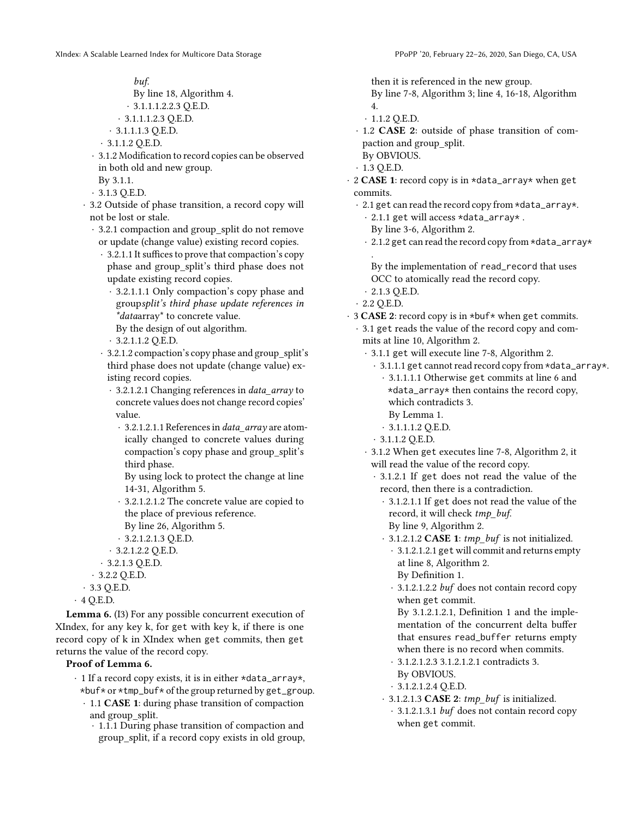buf.

- By line 18, Algorithm 4.
- · 3.1.1.1.2.2.3 Q.E.D.
- $\cdot$  3.1.1.1.2.3 Q.E.D.
- $\cdot$  3.1.1.1.3 Q.E.D.
- · 3.1.1.2 Q.E.D.
- · 3.1.2 Modification to record copies can be observed in both old and new group.
	- By 3.1.1.
- · 3.1.3 Q.E.D.
- · 3.2 Outside of phase transition, a record copy will not be lost or stale.
	- · 3.2.1 compaction and group\_split do not remove or update (change value) existing record copies.
		- · 3.2.1.1 It suffices to prove that compaction's copy phase and group\_split's third phase does not update existing record copies.
			- · 3.2.1.1.1 Only compaction's copy phase and groupsplit's third phase update references in \*dataarray\* to concrete value.
			- By the design of out algorithm.
			- $\cdot$  3.2.1.1.2 Q.E.D.
		- · 3.2.1.2 compaction's copy phase and group\_split's third phase does not update (change value) existing record copies.
			- · 3.2.1.2.1 Changing references in data\_array to concrete values does not change record copies' value.
				- · 3.2.1.2.1.1 References in data\_array are atomically changed to concrete values during compaction's copy phase and group\_split's third phase.
				- By using lock to protect the change at line 14-31, Algorithm 5.
				- · 3.2.1.2.1.2 The concrete value are copied to the place of previous reference.
				- By line 26, Algorithm 5.
			- · 3.2.1.2.1.3 Q.E.D.
			- · 3.2.1.2.2 Q.E.D.
		- · 3.2.1.3 Q.E.D.
	- · 3.2.2 Q.E.D.
- · 3.3 Q.E.D.

 $\cdot$  4 Q.E.D.

Lemma 6. (I3) For any possible concurrent execution of XIndex, for any key k, for get with key k, if there is one record copy of k in XIndex when get commits, then get returns the value of the record copy.

# Proof of Lemma 6.

- $\cdot$  1 If a record copy exists, it is in either \*data\_array\*, \*buf\* or \*tmp\_buf\* of the group returned by get\_group.
	- · 1.1 CASE 1: during phase transition of compaction and group\_split.
		- · 1.1.1 During phase transition of compaction and group\_split, if a record copy exists in old group,
- then it is referenced in the new group.
- By line 7-8, Algorithm 3; line 4, 16-18, Algorithm 4.
- · 1.1.2 Q.E.D.
- · 1.2 CASE 2: outside of phase transition of compaction and group\_split.
- By OBVIOUS.
- $\cdot$  1.3 Q.E.D.
- · 2 CASE 1: record copy is in \*data\_array\* when get commits.
	- · 2.1 get can read the record copy from \*data\_array\*.
		- · 2.1.1 get will access \*data\_array\* .
		- By line 3-6, Algorithm 2.
		- · 2.1.2 get can read the record copy from \*data\_array\*
		- . By the implementation of read\_record that uses OCC to atomically read the record copy.
	- $\cdot$  2.1.3 O.E.D.
	- · 2.2 Q.E.D.
- $\cdot$  3 CASE 2: record copy is in \*buf\* when get commits.
	- · 3.1 get reads the value of the record copy and commits at line 10, Algorithm 2.
		- · 3.1.1 get will execute line 7-8, Algorithm 2.
			- · 3.1.1.1 get cannot read record copy from \*data\_array\*.
				- · 3.1.1.1.1 Otherwise get commits at line 6 and \*data\_array\* then contains the record copy, which contradicts 3.
				- By Lemma 1.
				- · 3.1.1.1.2 Q.E.D.
			- · 3.1.1.2 Q.E.D.
		- · 3.1.2 When get executes line 7-8, Algorithm 2, it will read the value of the record copy.
			- · 3.1.2.1 If get does not read the value of the record, then there is a contradiction.
				- · 3.1.2.1.1 If get does not read the value of the record, it will check tmp\_buf.
				- By line 9, Algorithm 2.
				- · 3.1.2.1.2 CASE 1: tmp\_buf is not initialized.
					- · 3.1.2.1.2.1 get will commit and returns empty at line 8, Algorithm 2. By Definition 1.
					- · 3.1.2.1.2.2 buf does not contain record copy when get commit.

By 3.1.2.1.2.1, Definition 1 and the implementation of the concurrent delta buffer that ensures read\_buffer returns empty when there is no record when commits.

- · 3.1.2.1.2.3 3.1.2.1.2.1 contradicts 3. By OBVIOUS.
- · 3.1.2.1.2.4 Q.E.D.
- $\cdot$  3.1.2.1.3 CASE 2: tmp\_buf is initialized.
- · 3.1.2.1.3.1 buf does not contain record copy when get commit.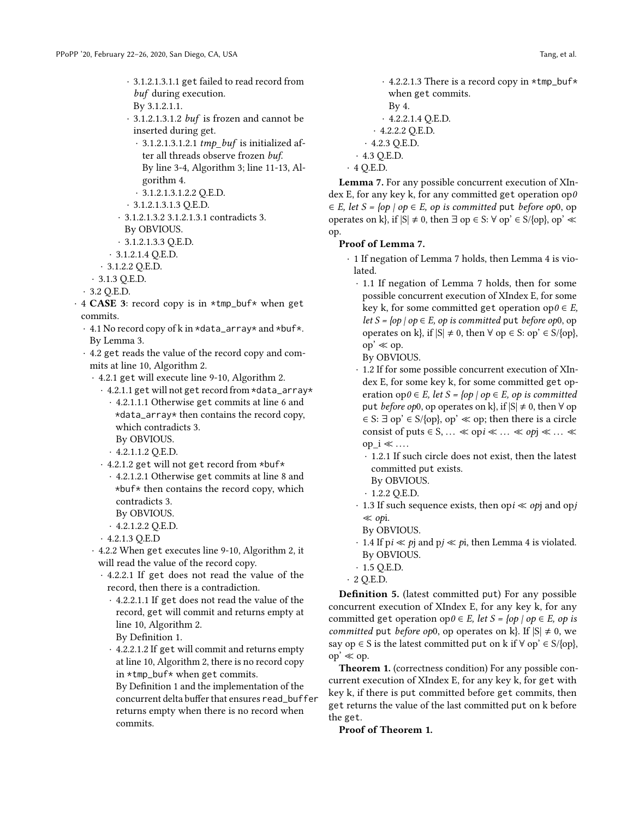- · 3.1.2.1.3.1.1 get failed to read record from buf during execution. By 3.1.2.1.1.
- · 3.1.2.1.3.1.2 buf is frozen and cannot be inserted during get.
- $\cdot$  3.1.2.1.3.1.2.1 tmp\_buf is initialized after all threads observe frozen buf. By line 3-4, Algorithm 3; line 11-13, Algorithm 4.
- · 3.1.2.1.3.1.2.2 Q.E.D.
- · 3.1.2.1.3.1.3 Q.E.D.
- · 3.1.2.1.3.2 3.1.2.1.3.1 contradicts 3.
- By OBVIOUS.
- $\cdot$  3.1.2.1.3.3 Q.E.D.
- · 3.1.2.1.4 Q.E.D.
- · 3.1.2.2 Q.E.D.
- · 3.1.3 Q.E.D.
- · 3.2 Q.E.D.
- · 4 CASE 3: record copy is in \*tmp\_buf\* when get commits.
	- · 4.1 No record copy of k in \*data\_array\* and \*buf\*. By Lemma 3.
	- · 4.2 get reads the value of the record copy and commits at line 10, Algorithm 2.
		- · 4.2.1 get will execute line 9-10, Algorithm 2.
			- · 4.2.1.1 get will not get record from \*data\_array\* · 4.2.1.1.1 Otherwise get commits at line 6 and \*data\_array\* then contains the record copy, which contradicts 3.
				- By OBVIOUS.
				- $\cdot$  4.2.1.1.2 Q.E.D.
			- · 4.2.1.2 get will not get record from \*buf\*
				- · 4.2.1.2.1 Otherwise get commits at line 8 and \*buf\* then contains the record copy, which contradicts 3.
					- By OBVIOUS.
				- $\cdot$  4.2.1.2.2 Q.E.D.
			- · 4.2.1.3 Q.E.D
		- · 4.2.2 When get executes line 9-10, Algorithm 2, it will read the value of the record copy.
			- · 4.2.2.1 If get does not read the value of the record, then there is a contradiction.
				- · 4.2.2.1.1 If get does not read the value of the record, get will commit and returns empty at line 10, Algorithm 2.
					- By Definition 1.
				- · 4.2.2.1.2 If get will commit and returns empty at line 10, Algorithm 2, there is no record copy in \*tmp\_buf\* when get commits.
				- By Definition 1 and the implementation of the concurrent delta buffer that ensures read\_buffer returns empty when there is no record when commits.
- $\cdot$  4.2.2.1.3 There is a record copy in  $*$ tmp\_buf $*$ when get commits. By 4.
- $\cdot$  4.2.2.1.4 Q.E.D. · 4.2.2.2 Q.E.D. · 4.2.3 Q.E.D.
- · 4.3 Q.E.D.

```
\cdot 4 Q.E.D.
```
Lemma 7. For any possible concurrent execution of XIndex E, for any key k, for any committed get operation op $0$  $\in E$ , let  $S = \{ op \mid op \in E, op \text{ is committed put before op0, op} \}$ operates on k}, if  $|S| \neq 0$ , then  $\exists$  op  $\in S$ :  $\forall$  op'  $\in S/\{op\}$ , op'  $\ll$ op.

#### Proof of Lemma 7.

- · 1 If negation of Lemma 7 holds, then Lemma 4 is violated.
	- · 1.1 If negation of Lemma 7 holds, then for some possible concurrent execution of XIndex E, for some key k, for some committed get operation op $0 \in E$ , let  $S = \{ op \mid op \in E, op \text{ is committed put before } op0, op \}$ operates on k}, if  $|S| \neq 0$ , then  $\forall$  op ∈ S: op' ∈ S/{op}, op' ≪ op.
		- By OBVIOUS.
	- · 1.2 If for some possible concurrent execution of XIndex E, for some key k, for some committed get operation op $0 \in E$ , let  $S = \{ op \mid op \in E$ , op is committed put *before op*0, op operates on k, if  $|S| \neq 0$ , then  $\forall$  op  $\in$  S:  $\exists$  op'  $\in$  S/{op}, op'  $\ll$  op; then there is a circle consist of puts  $\in$  S, ...  $\ll$  opi $\ll$  ...  $\ll$  opj $\ll$  ...  $\ll$ op  $i \ll ...$ 
		- · 1.2.1 If such circle does not exist, then the latest committed put exists.
		- By OBVIOUS.
		- · 1.2.2 Q.E.D.
	- $\cdot$  1.3 If such sequence exists, then opi  $\ll$  opj and opj ≪ opi.
	- By OBVIOUS.
	- · 1.4 If p*i* ≪ *p*j and p*j* ≪ *p*i, then Lemma 4 is violated. By OBVIOUS.
	- $\cdot$  1.5 Q.E.D.
- $\cdot$  2 Q.E.D.

Definition 5. (latest committed put) For any possible concurrent execution of XIndex E, for any key k, for any committed get operation op $0 \in E$ , let  $S = \{op \mid op \in E, op \text{ is }$ committed put before op0, op operates on k}. If  $|S| \neq 0$ , we say op  $\in$  S is the latest committed put on k if  $\forall$  op'  $\in$  S/{op},  $op' \ll op$ .

Theorem 1. (correctness condition) For any possible concurrent execution of XIndex E, for any key k, for get with key k, if there is put committed before get commits, then get returns the value of the last committed put on k before the get.

Proof of Theorem 1.